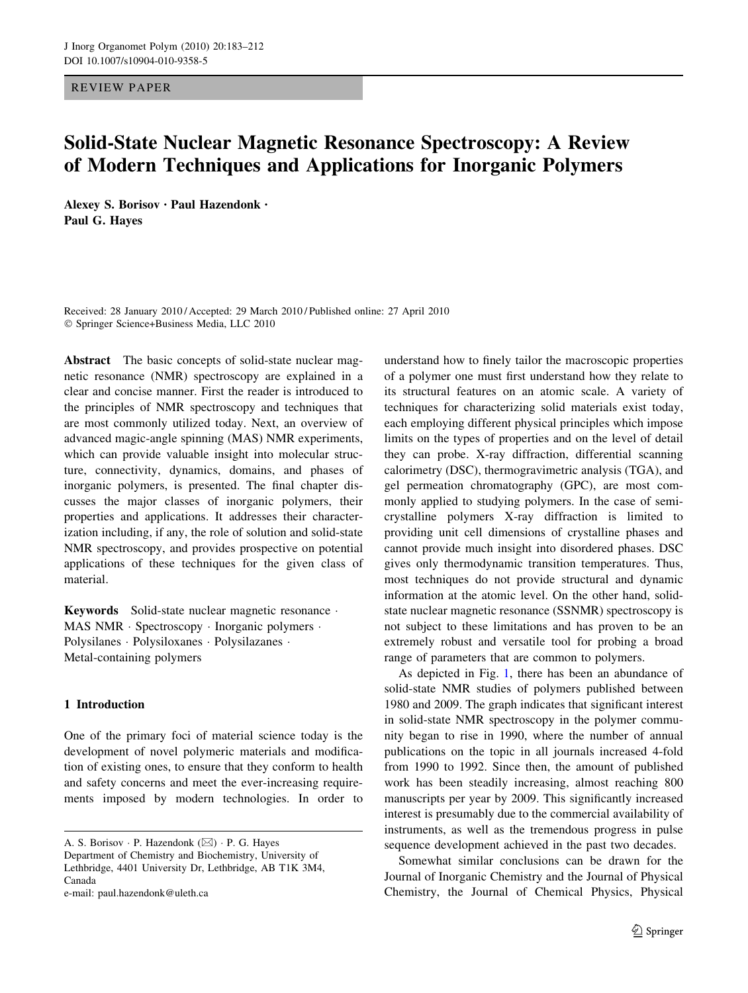REVIEW PAPER

# Solid-State Nuclear Magnetic Resonance Spectroscopy: A Review of Modern Techniques and Applications for Inorganic Polymers

Alexey S. Borisov • Paul Hazendonk • Paul G. Hayes

Received: 28 January 2010 / Accepted: 29 March 2010 / Published online: 27 April 2010 - Springer Science+Business Media, LLC 2010

Abstract The basic concepts of solid-state nuclear magnetic resonance (NMR) spectroscopy are explained in a clear and concise manner. First the reader is introduced to the principles of NMR spectroscopy and techniques that are most commonly utilized today. Next, an overview of advanced magic-angle spinning (MAS) NMR experiments, which can provide valuable insight into molecular structure, connectivity, dynamics, domains, and phases of inorganic polymers, is presented. The final chapter discusses the major classes of inorganic polymers, their properties and applications. It addresses their characterization including, if any, the role of solution and solid-state NMR spectroscopy, and provides prospective on potential applications of these techniques for the given class of material.

Keywords Solid-state nuclear magnetic resonance . MAS NMR · Spectroscopy · Inorganic polymers · Polysilanes - Polysiloxanes - Polysilazanes - Metal-containing polymers

## 1 Introduction

One of the primary foci of material science today is the development of novel polymeric materials and modification of existing ones, to ensure that they conform to health and safety concerns and meet the ever-increasing requirements imposed by modern technologies. In order to

A. S. Borisov · P. Hazendonk (⊠) · P. G. Hayes Department of Chemistry and Biochemistry, University of Lethbridge, 4401 University Dr, Lethbridge, AB T1K 3M4, Canada e-mail: paul.hazendonk@uleth.ca

understand how to finely tailor the macroscopic properties of a polymer one must first understand how they relate to its structural features on an atomic scale. A variety of techniques for characterizing solid materials exist today, each employing different physical principles which impose limits on the types of properties and on the level of detail they can probe. X-ray diffraction, differential scanning calorimetry (DSC), thermogravimetric analysis (TGA), and gel permeation chromatography (GPC), are most commonly applied to studying polymers. In the case of semicrystalline polymers X-ray diffraction is limited to providing unit cell dimensions of crystalline phases and cannot provide much insight into disordered phases. DSC gives only thermodynamic transition temperatures. Thus, most techniques do not provide structural and dynamic information at the atomic level. On the other hand, solidstate nuclear magnetic resonance (SSNMR) spectroscopy is not subject to these limitations and has proven to be an extremely robust and versatile tool for probing a broad range of parameters that are common to polymers.

As depicted in Fig. [1,](#page-1-0) there has been an abundance of solid-state NMR studies of polymers published between 1980 and 2009. The graph indicates that significant interest in solid-state NMR spectroscopy in the polymer community began to rise in 1990, where the number of annual publications on the topic in all journals increased 4-fold from 1990 to 1992. Since then, the amount of published work has been steadily increasing, almost reaching 800 manuscripts per year by 2009. This significantly increased interest is presumably due to the commercial availability of instruments, as well as the tremendous progress in pulse sequence development achieved in the past two decades.

Somewhat similar conclusions can be drawn for the Journal of Inorganic Chemistry and the Journal of Physical Chemistry, the Journal of Chemical Physics, Physical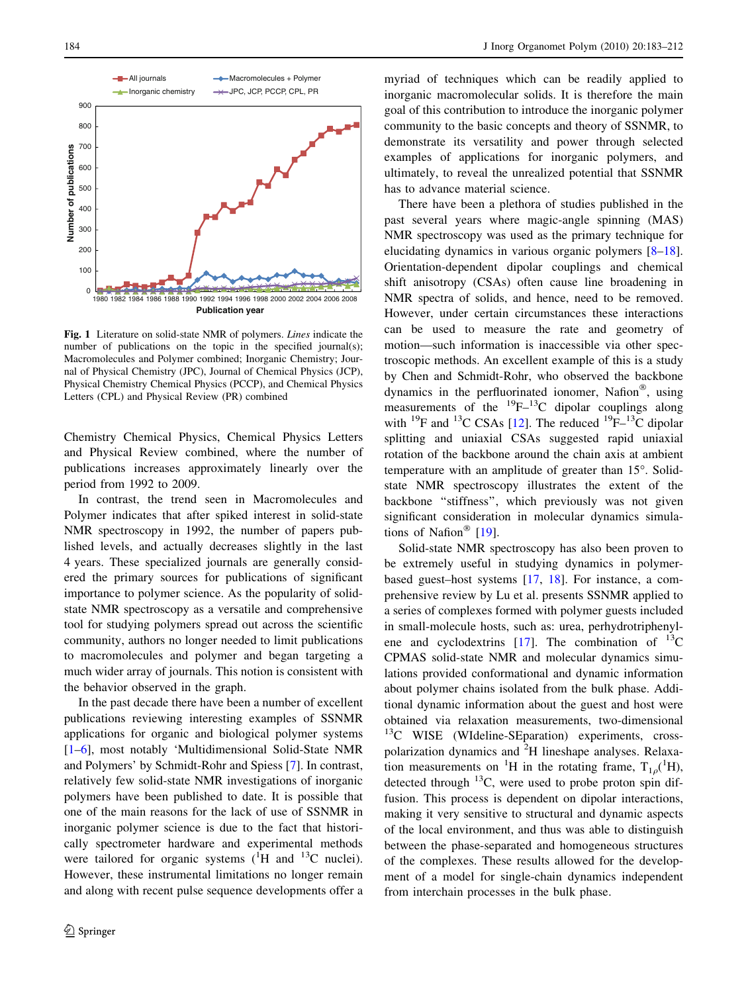<span id="page-1-0"></span>

Fig. 1 Literature on solid-state NMR of polymers. Lines indicate the number of publications on the topic in the specified journal(s); Macromolecules and Polymer combined; Inorganic Chemistry; Journal of Physical Chemistry (JPC), Journal of Chemical Physics (JCP), Physical Chemistry Chemical Physics (PCCP), and Chemical Physics Letters (CPL) and Physical Review (PR) combined

Chemistry Chemical Physics, Chemical Physics Letters and Physical Review combined, where the number of publications increases approximately linearly over the period from 1992 to 2009.

In contrast, the trend seen in Macromolecules and Polymer indicates that after spiked interest in solid-state NMR spectroscopy in 1992, the number of papers published levels, and actually decreases slightly in the last 4 years. These specialized journals are generally considered the primary sources for publications of significant importance to polymer science. As the popularity of solidstate NMR spectroscopy as a versatile and comprehensive tool for studying polymers spread out across the scientific community, authors no longer needed to limit publications to macromolecules and polymer and began targeting a much wider array of journals. This notion is consistent with the behavior observed in the graph.

In the past decade there have been a number of excellent publications reviewing interesting examples of SSNMR applications for organic and biological polymer systems [\[1–6](#page-25-0)], most notably 'Multidimensional Solid-State NMR and Polymers' by Schmidt-Rohr and Spiess [[7\]](#page-25-0). In contrast, relatively few solid-state NMR investigations of inorganic polymers have been published to date. It is possible that one of the main reasons for the lack of use of SSNMR in inorganic polymer science is due to the fact that historically spectrometer hardware and experimental methods were tailored for organic systems  $(^1H$  and  $^{13}C$  nuclei). However, these instrumental limitations no longer remain and along with recent pulse sequence developments offer a

myriad of techniques which can be readily applied to inorganic macromolecular solids. It is therefore the main goal of this contribution to introduce the inorganic polymer community to the basic concepts and theory of SSNMR, to demonstrate its versatility and power through selected examples of applications for inorganic polymers, and ultimately, to reveal the unrealized potential that SSNMR has to advance material science.

There have been a plethora of studies published in the past several years where magic-angle spinning (MAS) NMR spectroscopy was used as the primary technique for elucidating dynamics in various organic polymers [\[8–18](#page-25-0)]. Orientation-dependent dipolar couplings and chemical shift anisotropy (CSAs) often cause line broadening in NMR spectra of solids, and hence, need to be removed. However, under certain circumstances these interactions can be used to measure the rate and geometry of motion—such information is inaccessible via other spectroscopic methods. An excellent example of this is a study by Chen and Schmidt-Rohr, who observed the backbone dynamics in the perfluorinated ionomer, Nafion®, using measurements of the  $^{19}F^{-13}C$  dipolar couplings along with <sup>19</sup>F and <sup>13</sup>C CSAs [[12\]](#page-25-0). The reduced <sup>19</sup>F–<sup>13</sup>C dipolar splitting and uniaxial CSAs suggested rapid uniaxial rotation of the backbone around the chain axis at ambient temperature with an amplitude of greater than  $15^{\circ}$ . Solidstate NMR spectroscopy illustrates the extent of the backbone ''stiffness'', which previously was not given significant consideration in molecular dynamics simula-tions of Nafion<sup>®</sup> [\[19](#page-25-0)].

Solid-state NMR spectroscopy has also been proven to be extremely useful in studying dynamics in polymerbased guest–host systems [[17,](#page-25-0) [18\]](#page-25-0). For instance, a comprehensive review by Lu et al. presents SSNMR applied to a series of complexes formed with polymer guests included in small-molecule hosts, such as: urea, perhydrotriphenylene and cyclodextrins  $[17]$  $[17]$ . The combination of  $^{13}$ C CPMAS solid-state NMR and molecular dynamics simulations provided conformational and dynamic information about polymer chains isolated from the bulk phase. Additional dynamic information about the guest and host were obtained via relaxation measurements, two-dimensional  $13C$  WISE (WIdeline-SEparation) experiments, crosspolarization dynamics and <sup>2</sup>H lineshape analyses. Relaxation measurements on <sup>1</sup>H in the rotating frame,  $T_{1\rho}$ (<sup>1</sup>H), detected through  $^{13}$ C, were used to probe proton spin diffusion. This process is dependent on dipolar interactions, making it very sensitive to structural and dynamic aspects of the local environment, and thus was able to distinguish between the phase-separated and homogeneous structures of the complexes. These results allowed for the development of a model for single-chain dynamics independent from interchain processes in the bulk phase.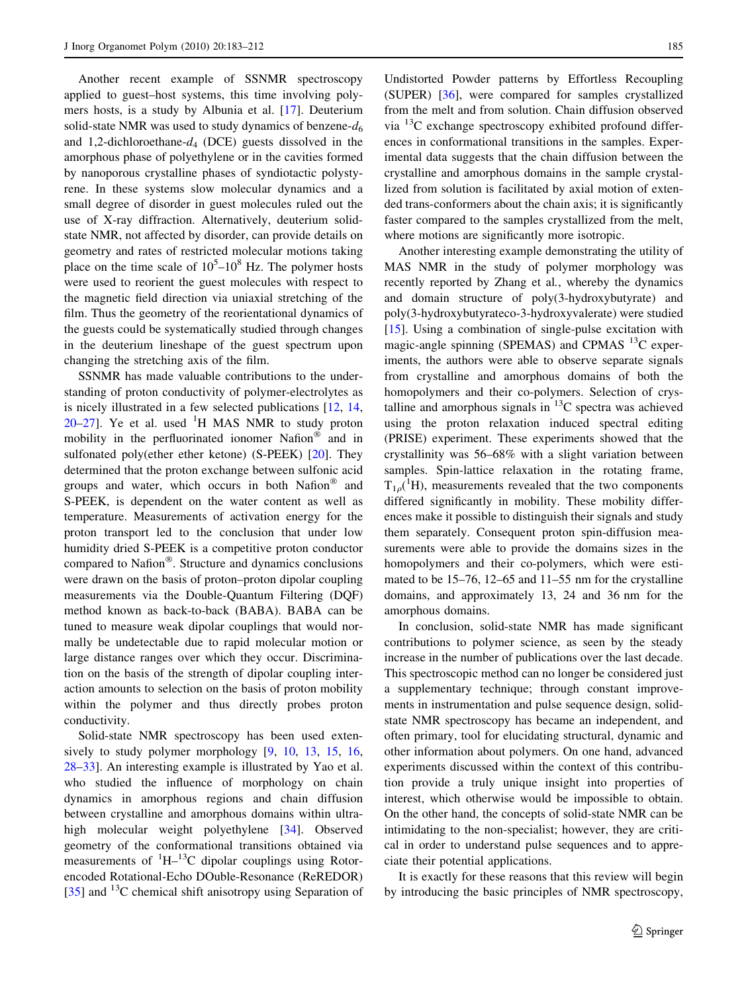Another recent example of SSNMR spectroscopy applied to guest–host systems, this time involving polymers hosts, is a study by Albunia et al. [\[17](#page-25-0)]. Deuterium solid-state NMR was used to study dynamics of benzene- $d_6$ and 1,2-dichloroethane- $d_4$  (DCE) guests dissolved in the amorphous phase of polyethylene or in the cavities formed by nanoporous crystalline phases of syndiotactic polystyrene. In these systems slow molecular dynamics and a small degree of disorder in guest molecules ruled out the use of X-ray diffraction. Alternatively, deuterium solidstate NMR, not affected by disorder, can provide details on geometry and rates of restricted molecular motions taking place on the time scale of  $10^5$ – $10^8$  Hz. The polymer hosts were used to reorient the guest molecules with respect to the magnetic field direction via uniaxial stretching of the film. Thus the geometry of the reorientational dynamics of the guests could be systematically studied through changes in the deuterium lineshape of the guest spectrum upon changing the stretching axis of the film.

SSNMR has made valuable contributions to the understanding of proton conductivity of polymer-electrolytes as is nicely illustrated in a few selected publications [[12,](#page-25-0) [14,](#page-25-0)  $20-27$  $20-27$ ]. Ye et al. used  ${}^{1}$ H MAS NMR to study proton mobility in the perfluorinated ionomer Nafion<sup>®</sup> and in sulfonated poly(ether ether ketone) (S-PEEK) [[20\]](#page-25-0). They determined that the proton exchange between sulfonic acid groups and water, which occurs in both Nafion $^{\circledR}$  and S-PEEK, is dependent on the water content as well as temperature. Measurements of activation energy for the proton transport led to the conclusion that under low humidity dried S-PEEK is a competitive proton conductor compared to Nafion<sup>®</sup>. Structure and dynamics conclusions were drawn on the basis of proton–proton dipolar coupling measurements via the Double-Quantum Filtering (DQF) method known as back-to-back (BABA). BABA can be tuned to measure weak dipolar couplings that would normally be undetectable due to rapid molecular motion or large distance ranges over which they occur. Discrimination on the basis of the strength of dipolar coupling interaction amounts to selection on the basis of proton mobility within the polymer and thus directly probes proton conductivity.

Solid-state NMR spectroscopy has been used extensively to study polymer morphology  $[9, 10, 13, 15, 16,$  $[9, 10, 13, 15, 16,$  $[9, 10, 13, 15, 16,$  $[9, 10, 13, 15, 16,$  $[9, 10, 13, 15, 16,$  $[9, 10, 13, 15, 16,$  $[9, 10, 13, 15, 16,$  $[9, 10, 13, 15, 16,$  $[9, 10, 13, 15, 16,$ [28](#page-25-0)–[33\]](#page-25-0). An interesting example is illustrated by Yao et al. who studied the influence of morphology on chain dynamics in amorphous regions and chain diffusion between crystalline and amorphous domains within ultra-high molecular weight polyethylene [\[34](#page-25-0)]. Observed geometry of the conformational transitions obtained via measurements of  ${}^{1}H-{}^{13}C$  dipolar couplings using Rotorencoded Rotational-Echo DOuble-Resonance (ReREDOR) [\[35](#page-25-0)] and  $^{13}$ C chemical shift anisotropy using Separation of

Undistorted Powder patterns by Effortless Recoupling (SUPER) [\[36](#page-25-0)], were compared for samples crystallized from the melt and from solution. Chain diffusion observed via  $^{13}$ C exchange spectroscopy exhibited profound differences in conformational transitions in the samples. Experimental data suggests that the chain diffusion between the crystalline and amorphous domains in the sample crystallized from solution is facilitated by axial motion of extended trans-conformers about the chain axis; it is significantly faster compared to the samples crystallized from the melt, where motions are significantly more isotropic.

Another interesting example demonstrating the utility of MAS NMR in the study of polymer morphology was recently reported by Zhang et al., whereby the dynamics and domain structure of poly(3-hydroxybutyrate) and poly(3-hydroxybutyrateco-3-hydroxyvalerate) were studied [\[15](#page-25-0)]. Using a combination of single-pulse excitation with magic-angle spinning (SPEMAS) and CPMAS  $^{13}$ C experiments, the authors were able to observe separate signals from crystalline and amorphous domains of both the homopolymers and their co-polymers. Selection of crystalline and amorphous signals in  ${}^{13}C$  spectra was achieved using the proton relaxation induced spectral editing (PRISE) experiment. These experiments showed that the crystallinity was 56–68% with a slight variation between samples. Spin-lattice relaxation in the rotating frame,  $T_{1,\rho}$ <sup>(1</sup>H), measurements revealed that the two components differed significantly in mobility. These mobility differences make it possible to distinguish their signals and study them separately. Consequent proton spin-diffusion measurements were able to provide the domains sizes in the homopolymers and their co-polymers, which were estimated to be 15–76, 12–65 and 11–55 nm for the crystalline domains, and approximately 13, 24 and 36 nm for the amorphous domains.

In conclusion, solid-state NMR has made significant contributions to polymer science, as seen by the steady increase in the number of publications over the last decade. This spectroscopic method can no longer be considered just a supplementary technique; through constant improvements in instrumentation and pulse sequence design, solidstate NMR spectroscopy has became an independent, and often primary, tool for elucidating structural, dynamic and other information about polymers. On one hand, advanced experiments discussed within the context of this contribution provide a truly unique insight into properties of interest, which otherwise would be impossible to obtain. On the other hand, the concepts of solid-state NMR can be intimidating to the non-specialist; however, they are critical in order to understand pulse sequences and to appreciate their potential applications.

It is exactly for these reasons that this review will begin by introducing the basic principles of NMR spectroscopy,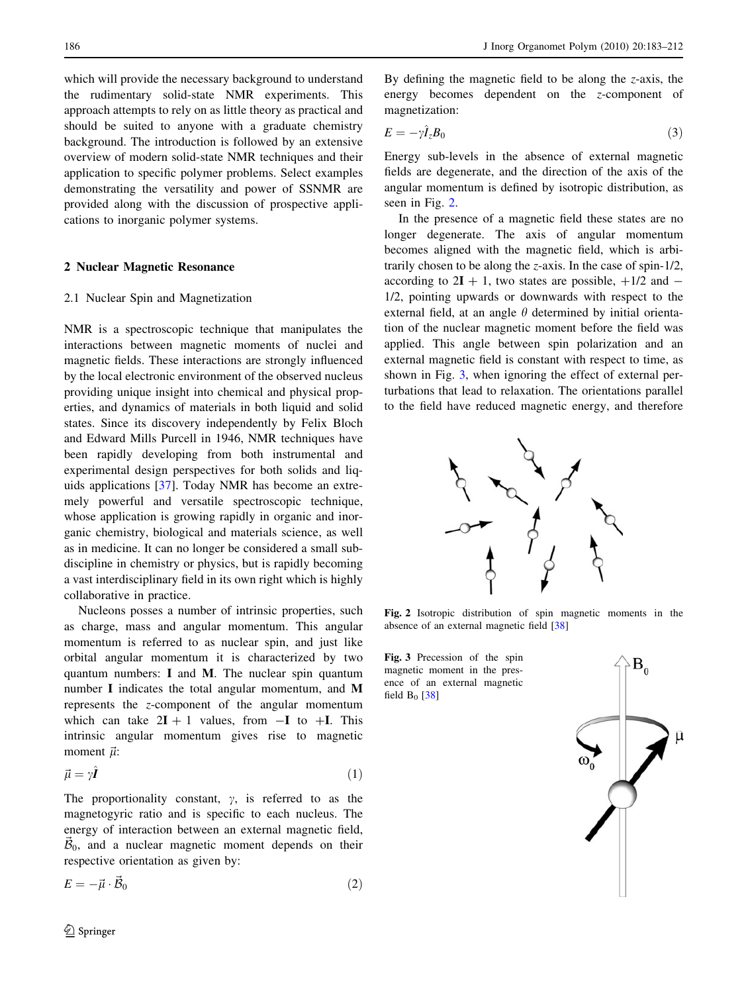which will provide the necessary background to understand the rudimentary solid-state NMR experiments. This approach attempts to rely on as little theory as practical and should be suited to anyone with a graduate chemistry background. The introduction is followed by an extensive overview of modern solid-state NMR techniques and their application to specific polymer problems. Select examples demonstrating the versatility and power of SSNMR are provided along with the discussion of prospective applications to inorganic polymer systems.

### 2 Nuclear Magnetic Resonance

## 2.1 Nuclear Spin and Magnetization

NMR is a spectroscopic technique that manipulates the interactions between magnetic moments of nuclei and magnetic fields. These interactions are strongly influenced by the local electronic environment of the observed nucleus providing unique insight into chemical and physical properties, and dynamics of materials in both liquid and solid states. Since its discovery independently by Felix Bloch and Edward Mills Purcell in 1946, NMR techniques have been rapidly developing from both instrumental and experimental design perspectives for both solids and liquids applications [[37\]](#page-25-0). Today NMR has become an extremely powerful and versatile spectroscopic technique, whose application is growing rapidly in organic and inorganic chemistry, biological and materials science, as well as in medicine. It can no longer be considered a small subdiscipline in chemistry or physics, but is rapidly becoming a vast interdisciplinary field in its own right which is highly collaborative in practice.

Nucleons posses a number of intrinsic properties, such as charge, mass and angular momentum. This angular momentum is referred to as nuclear spin, and just like orbital angular momentum it is characterized by two quantum numbers: I and M. The nuclear spin quantum number I indicates the total angular momentum, and M represents the z-component of the angular momentum which can take  $2I + 1$  values, from  $-I$  to  $+I$ . This intrinsic angular momentum gives rise to magnetic moment  $\vec{\mu}$ :

$$
\vec{\mu} = \gamma \hat{\bm{I}} \tag{1}
$$

The proportionality constant,  $\gamma$ , is referred to as the magnetogyric ratio and is specific to each nucleus. The energy of interaction between an external magnetic field,  $\vec{B}_0$ , and a nuclear magnetic moment depends on their respective orientation as given by:

$$
E = -\vec{\mu} \cdot \vec{\mathcal{B}}_0 \tag{2}
$$

By defining the magnetic field to be along the z-axis, the energy becomes dependent on the z-component of magnetization:

$$
E = -\gamma \hat{I}_z B_0 \tag{3}
$$

Energy sub-levels in the absence of external magnetic fields are degenerate, and the direction of the axis of the angular momentum is defined by isotropic distribution, as seen in Fig. 2.

In the presence of a magnetic field these states are no longer degenerate. The axis of angular momentum becomes aligned with the magnetic field, which is arbitrarily chosen to be along the z-axis. In the case of spin-1/2, according to  $2I + 1$ , two states are possible,  $+1/2$  and  $-$ 1/2, pointing upwards or downwards with respect to the external field, at an angle  $\theta$  determined by initial orientation of the nuclear magnetic moment before the field was applied. This angle between spin polarization and an external magnetic field is constant with respect to time, as shown in Fig. 3, when ignoring the effect of external perturbations that lead to relaxation. The orientations parallel to the field have reduced magnetic energy, and therefore



Fig. 2 Isotropic distribution of spin magnetic moments in the absence of an external magnetic field [[38](#page-25-0)]

Fig. 3 Precession of the spin magnetic moment in the presence of an external magnetic field  $B_0$  [[38](#page-25-0)]

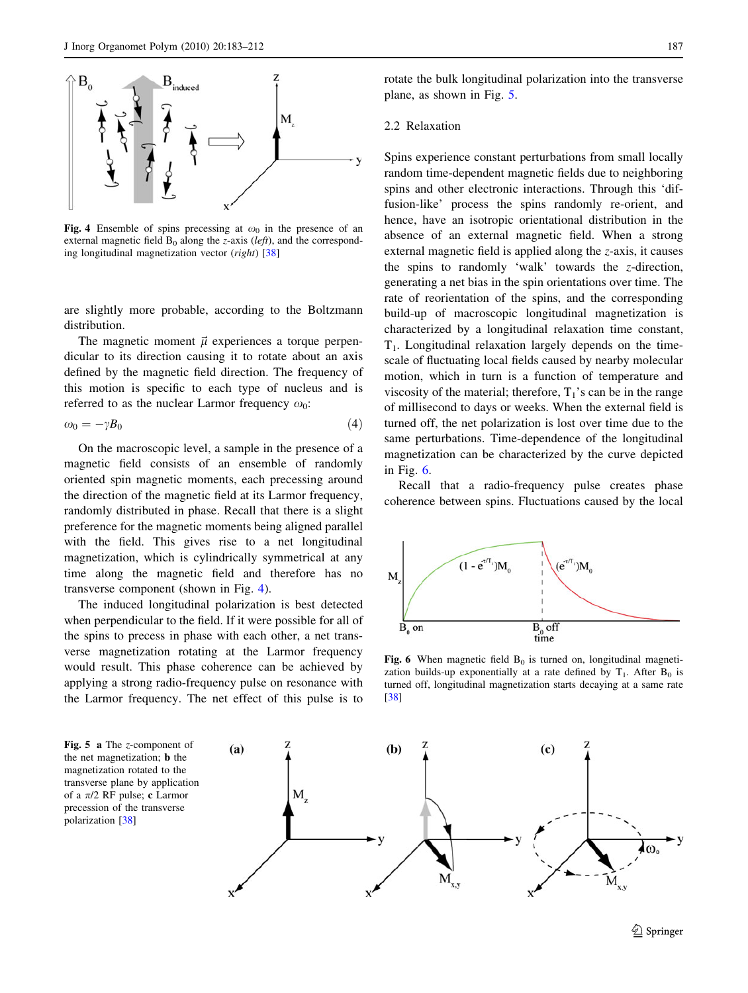

Fig. 4 Ensemble of spins precessing at  $\omega_0$  in the presence of an external magnetic field  $B_0$  along the *z*-axis (*left*), and the corresponding longitudinal magnetization vector  $(right)$  [[38](#page-25-0)]

are slightly more probable, according to the Boltzmann distribution.

The magnetic moment  $\vec{\mu}$  experiences a torque perpendicular to its direction causing it to rotate about an axis defined by the magnetic field direction. The frequency of this motion is specific to each type of nucleus and is referred to as the nuclear Larmor frequency  $\omega_0$ :

$$
\omega_0 = -\gamma B_0 \tag{4}
$$

On the macroscopic level, a sample in the presence of a magnetic field consists of an ensemble of randomly oriented spin magnetic moments, each precessing around the direction of the magnetic field at its Larmor frequency, randomly distributed in phase. Recall that there is a slight preference for the magnetic moments being aligned parallel with the field. This gives rise to a net longitudinal magnetization, which is cylindrically symmetrical at any time along the magnetic field and therefore has no transverse component (shown in Fig. 4).

The induced longitudinal polarization is best detected when perpendicular to the field. If it were possible for all of the spins to precess in phase with each other, a net transverse magnetization rotating at the Larmor frequency would result. This phase coherence can be achieved by applying a strong radio-frequency pulse on resonance with the Larmor frequency. The net effect of this pulse is to

rotate the bulk longitudinal polarization into the transverse plane, as shown in Fig. 5.

#### 2.2 Relaxation

Spins experience constant perturbations from small locally random time-dependent magnetic fields due to neighboring spins and other electronic interactions. Through this 'diffusion-like' process the spins randomly re-orient, and hence, have an isotropic orientational distribution in the absence of an external magnetic field. When a strong external magnetic field is applied along the z-axis, it causes the spins to randomly 'walk' towards the z-direction, generating a net bias in the spin orientations over time. The rate of reorientation of the spins, and the corresponding build-up of macroscopic longitudinal magnetization is characterized by a longitudinal relaxation time constant,  $T<sub>1</sub>$ . Longitudinal relaxation largely depends on the timescale of fluctuating local fields caused by nearby molecular motion, which in turn is a function of temperature and viscosity of the material; therefore,  $T_1$ 's can be in the range of millisecond to days or weeks. When the external field is turned off, the net polarization is lost over time due to the same perturbations. Time-dependence of the longitudinal magnetization can be characterized by the curve depicted in Fig. 6.

Recall that a radio-frequency pulse creates phase coherence between spins. Fluctuations caused by the local



Fig. 6 When magnetic field  $B_0$  is turned on, longitudinal magnetization builds-up exponentially at a rate defined by  $T_1$ . After  $B_0$  is turned off, longitudinal magnetization starts decaying at a same rate [[38](#page-25-0)]

Fig. 5 a The *z*-component of the net magnetization; b the magnetization rotated to the transverse plane by application of a  $\pi/2$  RF pulse; c Larmor precession of the transverse polarization [\[38\]](#page-25-0)



 $\mathcal{D}$  Springer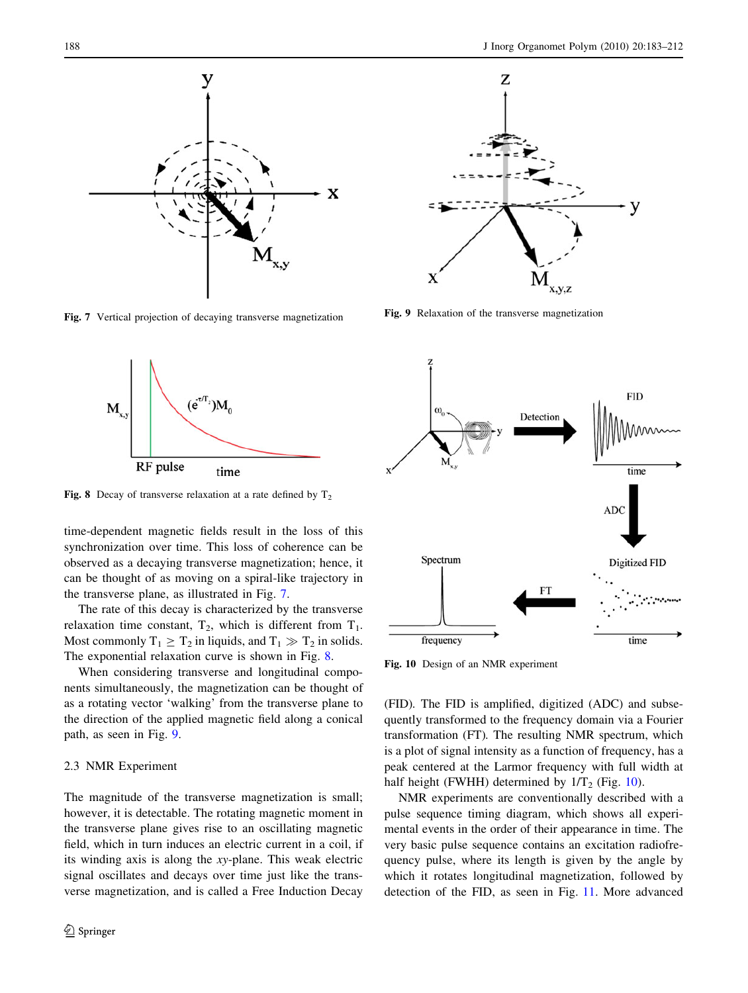X

у

Fig. 7 Vertical projection of decaying transverse magnetization



Fig. 8 Decay of transverse relaxation at a rate defined by  $T_2$ 

time-dependent magnetic fields result in the loss of this synchronization over time. This loss of coherence can be observed as a decaying transverse magnetization; hence, it can be thought of as moving on a spiral-like trajectory in the transverse plane, as illustrated in Fig. 7.

The rate of this decay is characterized by the transverse relaxation time constant,  $T_2$ , which is different from  $T_1$ . Most commonly  $T_1 \geq T_2$  in liquids, and  $T_1 \gg T_2$  in solids. The exponential relaxation curve is shown in Fig. 8.

When considering transverse and longitudinal components simultaneously, the magnetization can be thought of as a rotating vector 'walking' from the transverse plane to the direction of the applied magnetic field along a conical path, as seen in Fig. 9.

## 2.3 NMR Experiment

The magnitude of the transverse magnetization is small; however, it is detectable. The rotating magnetic moment in the transverse plane gives rise to an oscillating magnetic field, which in turn induces an electric current in a coil, if its winding axis is along the xy-plane. This weak electric signal oscillates and decays over time just like the transverse magnetization, and is called a Free Induction Decay



Fig. 9 Relaxation of the transverse magnetization



Fig. 10 Design of an NMR experiment

(FID). The FID is amplified, digitized (ADC) and subsequently transformed to the frequency domain via a Fourier transformation (FT). The resulting NMR spectrum, which is a plot of signal intensity as a function of frequency, has a peak centered at the Larmor frequency with full width at half height (FWHH) determined by  $1/T_2$  (Fig. 10).

NMR experiments are conventionally described with a pulse sequence timing diagram, which shows all experimental events in the order of their appearance in time. The very basic pulse sequence contains an excitation radiofrequency pulse, where its length is given by the angle by which it rotates longitudinal magnetization, followed by detection of the FID, as seen in Fig. [11](#page-6-0). More advanced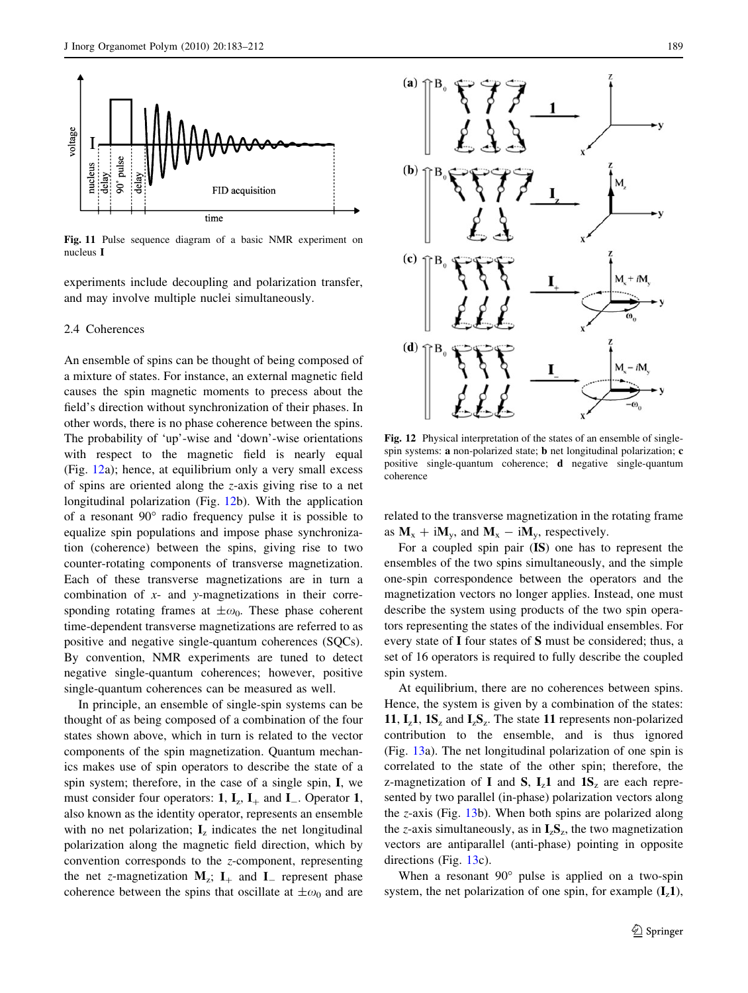<span id="page-6-0"></span>

Fig. 11 Pulse sequence diagram of a basic NMR experiment on nucleus I

experiments include decoupling and polarization transfer, and may involve multiple nuclei simultaneously.

## 2.4 Coherences

An ensemble of spins can be thought of being composed of a mixture of states. For instance, an external magnetic field causes the spin magnetic moments to precess about the field's direction without synchronization of their phases. In other words, there is no phase coherence between the spins. The probability of 'up'-wise and 'down'-wise orientations with respect to the magnetic field is nearly equal (Fig. 12a); hence, at equilibrium only a very small excess of spins are oriented along the z-axis giving rise to a net longitudinal polarization (Fig. 12b). With the application of a resonant  $90^{\circ}$  radio frequency pulse it is possible to equalize spin populations and impose phase synchronization (coherence) between the spins, giving rise to two counter-rotating components of transverse magnetization. Each of these transverse magnetizations are in turn a combination of  $x$ - and  $y$ -magnetizations in their corresponding rotating frames at  $\pm \omega_0$ . These phase coherent time-dependent transverse magnetizations are referred to as positive and negative single-quantum coherences (SQCs). By convention, NMR experiments are tuned to detect negative single-quantum coherences; however, positive single-quantum coherences can be measured as well.

In principle, an ensemble of single-spin systems can be thought of as being composed of a combination of the four states shown above, which in turn is related to the vector components of the spin magnetization. Quantum mechanics makes use of spin operators to describe the state of a spin system; therefore, in the case of a single spin, I, we must consider four operators: 1,  $I_z$ ,  $I_+$  and  $I_-$ . Operator 1, also known as the identity operator, represents an ensemble with no net polarization;  $\mathbf{I}_z$  indicates the net longitudinal polarization along the magnetic field direction, which by convention corresponds to the z-component, representing the net z-magnetization  $M_z$ ;  $I_+$  and  $I_-$  represent phase coherence between the spins that oscillate at  $\pm \omega_0$  and are



Fig. 12 Physical interpretation of the states of an ensemble of singlespin systems: a non-polarized state; **b** net longitudinal polarization; **c** positive single-quantum coherence; d negative single-quantum coherence

related to the transverse magnetization in the rotating frame as  $M_x + iM_y$ , and  $M_x - iM_y$ , respectively.

For a coupled spin pair (IS) one has to represent the ensembles of the two spins simultaneously, and the simple one-spin correspondence between the operators and the magnetization vectors no longer applies. Instead, one must describe the system using products of the two spin operators representing the states of the individual ensembles. For every state of I four states of S must be considered; thus, a set of 16 operators is required to fully describe the coupled spin system.

At equilibrium, there are no coherences between spins. Hence, the system is given by a combination of the states: 11,  $I_z1$ ,  $1S_z$  and  $I_zS_z$ . The state 11 represents non-polarized contribution to the ensemble, and is thus ignored (Fig. [13a](#page-7-0)). The net longitudinal polarization of one spin is correlated to the state of the other spin; therefore, the z-magnetization of I and S,  $I_z1$  and  $1S_z$  are each represented by two parallel (in-phase) polarization vectors along the z-axis (Fig. [13](#page-7-0)b). When both spins are polarized along the z-axis simultaneously, as in  $I_zS_z$ , the two magnetization vectors are antiparallel (anti-phase) pointing in opposite directions (Fig. [13](#page-7-0)c).

When a resonant  $90^\circ$  pulse is applied on a two-spin system, the net polarization of one spin, for example  $(I_z 1)$ ,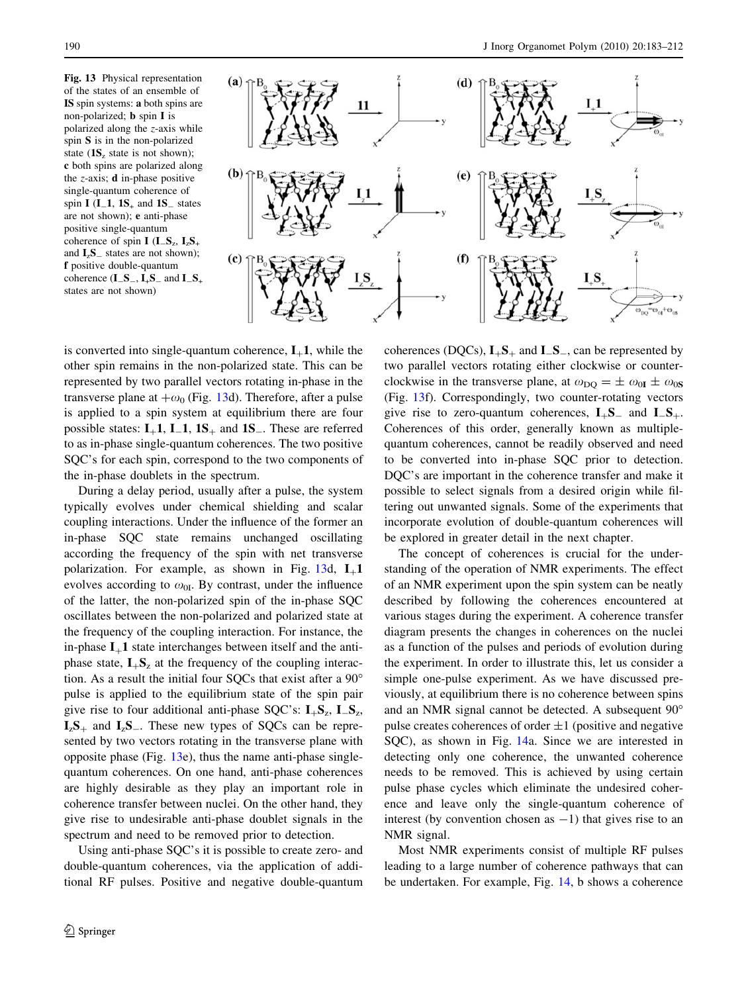<span id="page-7-0"></span>Fig. 13 Physical representation of the states of an ensemble of IS spin systems: a both spins are non-polarized; b spin I is polarized along the z-axis while spin S is in the non-polarized state  $(1S_z)$  state is not shown); c both spins are polarized along the  $z$ -axis; **d** in-phase positive single-quantum coherence of spin I  $(I_1, 1S_+$  and  $1S_-$  states are not shown); e anti-phase positive single-quantum coherence of spin I  $(I_S, I_S, I_S)$ and  $\mathbf{I}_z \mathbf{S}_z$  states are not shown); f positive double-quantum coherence  $(I_S_-, I_+S_-$  and  $I_S_+$ states are not shown)



is converted into single-quantum coherence,  $I_{+}1$ , while the other spin remains in the non-polarized state. This can be represented by two parallel vectors rotating in-phase in the transverse plane at  $+\omega_0$  (Fig. 13d). Therefore, after a pulse is applied to a spin system at equilibrium there are four possible states:  $I_+1$ ,  $I_1$ ,  $I_S_+$  and  $I_S_-$ . These are referred to as in-phase single-quantum coherences. The two positive SQC's for each spin, correspond to the two components of the in-phase doublets in the spectrum.

During a delay period, usually after a pulse, the system typically evolves under chemical shielding and scalar coupling interactions. Under the influence of the former an in-phase SQC state remains unchanged oscillating according the frequency of the spin with net transverse polarization. For example, as shown in Fig. 13d,  $I_{+}1$ evolves according to  $\omega_{0I}$ . By contrast, under the influence of the latter, the non-polarized spin of the in-phase SQC oscillates between the non-polarized and polarized state at the frequency of the coupling interaction. For instance, the in-phase  $I_{+}1$  state interchanges between itself and the antiphase state,  $I_{+}S_{z}$  at the frequency of the coupling interaction. As a result the initial four SQCs that exist after a 90 pulse is applied to the equilibrium state of the spin pair give rise to four additional anti-phase SQC's:  $I_+S_z$ ,  $I_-S_z$ ,  $I_zS_+$  and  $I_zS_-$ . These new types of SQCs can be represented by two vectors rotating in the transverse plane with opposite phase (Fig. 13e), thus the name anti-phase singlequantum coherences. On one hand, anti-phase coherences are highly desirable as they play an important role in coherence transfer between nuclei. On the other hand, they give rise to undesirable anti-phase doublet signals in the spectrum and need to be removed prior to detection.

Using anti-phase SQC's it is possible to create zero- and double-quantum coherences, via the application of additional RF pulses. Positive and negative double-quantum coherences (DQCs),  $I_{+}S_{+}$  and  $I_{-}S_{-}$ , can be represented by two parallel vectors rotating either clockwise or counterclockwise in the transverse plane, at  $\omega_{\text{DO}} = \pm \omega_{0I} \pm \omega_{0S}$ (Fig. 13f). Correspondingly, two counter-rotating vectors give rise to zero-quantum coherences,  $I_{+}S_{-}$  and  $I_{-}S_{+}$ . Coherences of this order, generally known as multiplequantum coherences, cannot be readily observed and need to be converted into in-phase SQC prior to detection. DQC's are important in the coherence transfer and make it possible to select signals from a desired origin while filtering out unwanted signals. Some of the experiments that incorporate evolution of double-quantum coherences will be explored in greater detail in the next chapter.

The concept of coherences is crucial for the understanding of the operation of NMR experiments. The effect of an NMR experiment upon the spin system can be neatly described by following the coherences encountered at various stages during the experiment. A coherence transfer diagram presents the changes in coherences on the nuclei as a function of the pulses and periods of evolution during the experiment. In order to illustrate this, let us consider a simple one-pulse experiment. As we have discussed previously, at equilibrium there is no coherence between spins and an NMR signal cannot be detected. A subsequent 90 pulse creates coherences of order  $\pm 1$  (positive and negative SQC), as shown in Fig. [14](#page-8-0)a. Since we are interested in detecting only one coherence, the unwanted coherence needs to be removed. This is achieved by using certain pulse phase cycles which eliminate the undesired coherence and leave only the single-quantum coherence of interest (by convention chosen as  $-1$ ) that gives rise to an NMR signal.

Most NMR experiments consist of multiple RF pulses leading to a large number of coherence pathways that can be undertaken. For example, Fig. [14](#page-8-0), b shows a coherence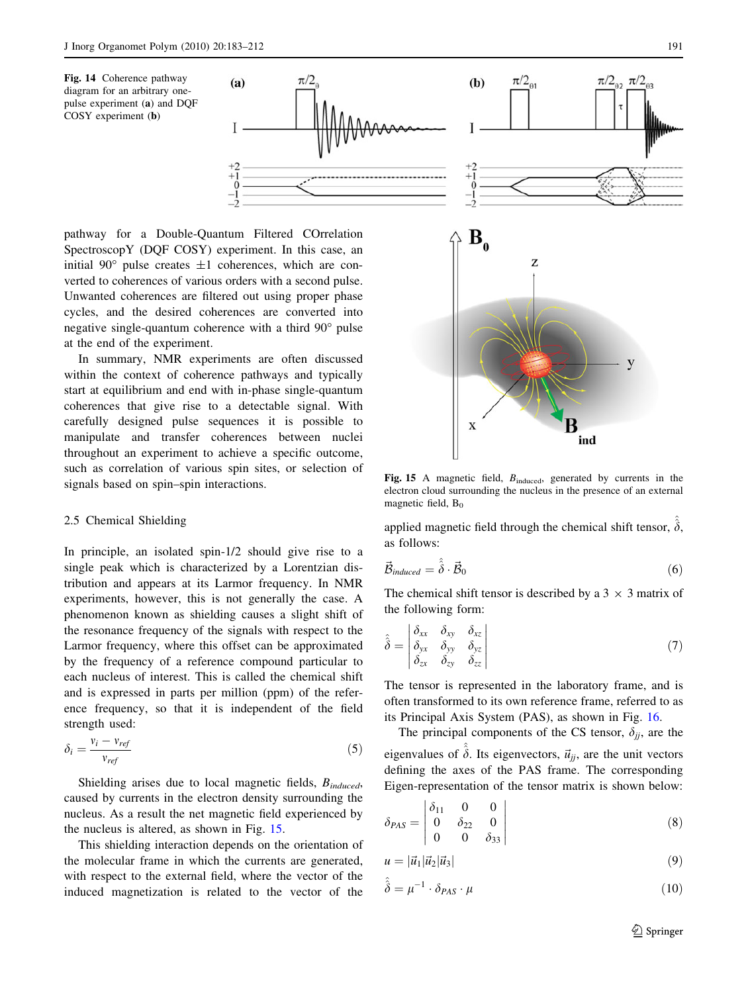<span id="page-8-0"></span>Fig. 14 Coherence pathway diagram for an arbitrary onepulse experiment (a) and DQF COSY experiment (b)



pathway for a Double-Quantum Filtered COrrelation SpectroscopY (DQF COSY) experiment. In this case, an initial 90 $^{\circ}$  pulse creates  $\pm 1$  coherences, which are converted to coherences of various orders with a second pulse. Unwanted coherences are filtered out using proper phase cycles, and the desired coherences are converted into negative single-quantum coherence with a third  $90^\circ$  pulse at the end of the experiment.

In summary, NMR experiments are often discussed within the context of coherence pathways and typically start at equilibrium and end with in-phase single-quantum coherences that give rise to a detectable signal. With carefully designed pulse sequences it is possible to manipulate and transfer coherences between nuclei throughout an experiment to achieve a specific outcome, such as correlation of various spin sites, or selection of signals based on spin–spin interactions.

#### 2.5 Chemical Shielding

In principle, an isolated spin-1/2 should give rise to a single peak which is characterized by a Lorentzian distribution and appears at its Larmor frequency. In NMR experiments, however, this is not generally the case. A phenomenon known as shielding causes a slight shift of the resonance frequency of the signals with respect to the Larmor frequency, where this offset can be approximated by the frequency of a reference compound particular to each nucleus of interest. This is called the chemical shift and is expressed in parts per million (ppm) of the reference frequency, so that it is independent of the field strength used:

$$
\delta_i = \frac{v_i - v_{ref}}{v_{ref}}\tag{5}
$$

Shielding arises due to local magnetic fields,  $B_{induced}$ , caused by currents in the electron density surrounding the nucleus. As a result the net magnetic field experienced by the nucleus is altered, as shown in Fig. 15.

This shielding interaction depends on the orientation of the molecular frame in which the currents are generated, with respect to the external field, where the vector of the induced magnetization is related to the vector of the



Fig. 15 A magnetic field,  $B_{induced}$ , generated by currents in the electron cloud surrounding the nucleus in the presence of an external magnetic field,  $B_0$ 

applied magnetic field through the chemical shift tensor,  $\delta$ , as follows:

$$
\vec{\mathcal{B}}_{induced} = \hat{\hat{\delta}} \cdot \vec{\mathcal{B}}_0 \tag{6}
$$

The chemical shift tensor is described by a  $3 \times 3$  matrix of the following form:

$$
\hat{\delta} = \begin{vmatrix} \delta_{xx} & \delta_{xy} & \delta_{xz} \\ \delta_{yx} & \delta_{yy} & \delta_{yz} \\ \delta_{zx} & \delta_{zy} & \delta_{zz} \end{vmatrix}
$$
\n(7)

The tensor is represented in the laboratory frame, and is often transformed to its own reference frame, referred to as its Principal Axis System (PAS), as shown in Fig. [16](#page-9-0).

The principal components of the CS tensor,  $\delta_{ii}$ , are the eigenvalues of  $\delta$ . Its eigenvectors,  $\vec{u}_{ij}$ , are the unit vectors defining the axes of the PAS frame. The corresponding Eigen-representation of the tensor matrix is shown below:

$$
\delta_{PAS} = \begin{vmatrix} \delta_{11} & 0 & 0 \\ 0 & \delta_{22} & 0 \\ 0 & 0 & \delta_{33} \end{vmatrix}
$$
 (8)

$$
u = |\vec{u}_1|\vec{u}_2|\vec{u}_3| \tag{9}
$$

$$
\hat{\hat{\delta}} = \mu^{-1} \cdot \delta_{PAS} \cdot \mu \tag{10}
$$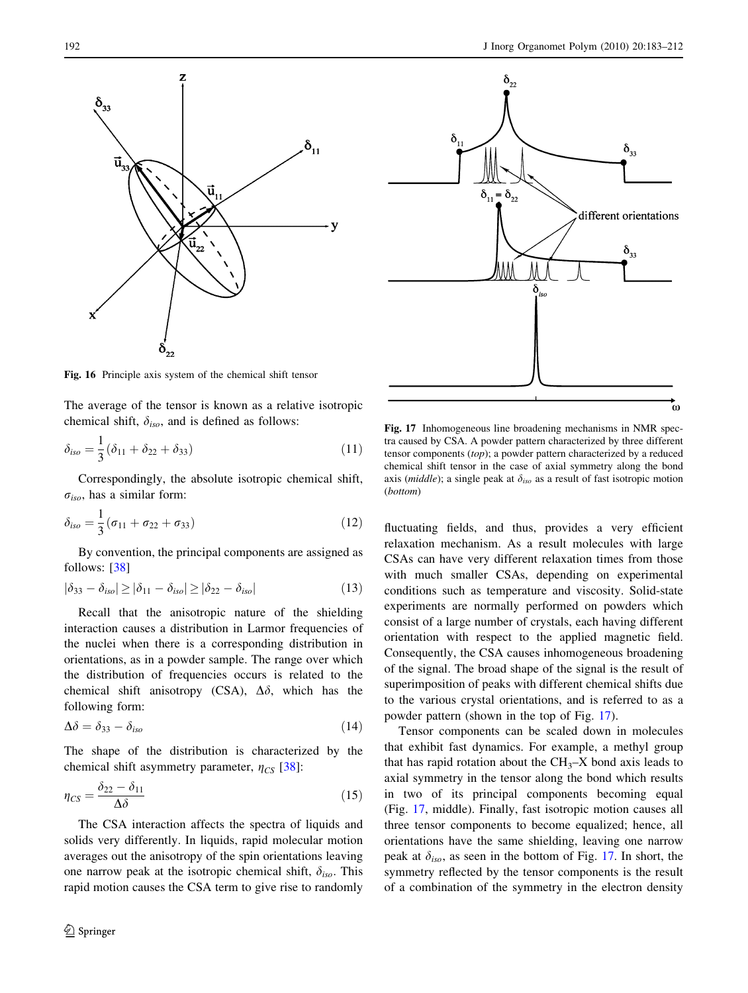<span id="page-9-0"></span>



Fig. 16 Principle axis system of the chemical shift tensor

The average of the tensor is known as a relative isotropic chemical shift,  $\delta_{iso}$ , and is defined as follows:

$$
\delta_{iso} = \frac{1}{3} (\delta_{11} + \delta_{22} + \delta_{33})
$$
\n(11)

Correspondingly, the absolute isotropic chemical shift,  $\sigma_{iso}$ , has a similar form:

$$
\delta_{iso} = \frac{1}{3} (\sigma_{11} + \sigma_{22} + \sigma_{33})
$$
 (12)

By convention, the principal components are assigned as follows: [\[38](#page-25-0)]

$$
|\delta_{33} - \delta_{iso}| \ge |\delta_{11} - \delta_{iso}| \ge |\delta_{22} - \delta_{iso}| \tag{13}
$$

Recall that the anisotropic nature of the shielding interaction causes a distribution in Larmor frequencies of the nuclei when there is a corresponding distribution in orientations, as in a powder sample. The range over which the distribution of frequencies occurs is related to the chemical shift anisotropy (CSA),  $\Delta\delta$ , which has the following form:

$$
\Delta\delta = \delta_{33} - \delta_{iso} \tag{14}
$$

The shape of the distribution is characterized by the chemical shift asymmetry parameter,  $\eta_{CS}$  [[38\]](#page-25-0):

$$
\eta_{CS} = \frac{\delta_{22} - \delta_{11}}{\Delta \delta} \tag{15}
$$

The CSA interaction affects the spectra of liquids and solids very differently. In liquids, rapid molecular motion averages out the anisotropy of the spin orientations leaving one narrow peak at the isotropic chemical shift,  $\delta_{iso}$ . This rapid motion causes the CSA term to give rise to randomly



Fig. 17 Inhomogeneous line broadening mechanisms in NMR spectra caused by CSA. A powder pattern characterized by three different tensor components (top); a powder pattern characterized by a reduced chemical shift tensor in the case of axial symmetry along the bond axis (*middle*); a single peak at  $\delta_{iso}$  as a result of fast isotropic motion (bottom)

fluctuating fields, and thus, provides a very efficient relaxation mechanism. As a result molecules with large CSAs can have very different relaxation times from those with much smaller CSAs, depending on experimental conditions such as temperature and viscosity. Solid-state experiments are normally performed on powders which consist of a large number of crystals, each having different orientation with respect to the applied magnetic field. Consequently, the CSA causes inhomogeneous broadening of the signal. The broad shape of the signal is the result of superimposition of peaks with different chemical shifts due to the various crystal orientations, and is referred to as a powder pattern (shown in the top of Fig. 17).

Tensor components can be scaled down in molecules that exhibit fast dynamics. For example, a methyl group that has rapid rotation about the  $CH<sub>3</sub>–X$  bond axis leads to axial symmetry in the tensor along the bond which results in two of its principal components becoming equal (Fig. 17, middle). Finally, fast isotropic motion causes all three tensor components to become equalized; hence, all orientations have the same shielding, leaving one narrow peak at  $\delta_{iso}$ , as seen in the bottom of Fig. 17. In short, the symmetry reflected by the tensor components is the result of a combination of the symmetry in the electron density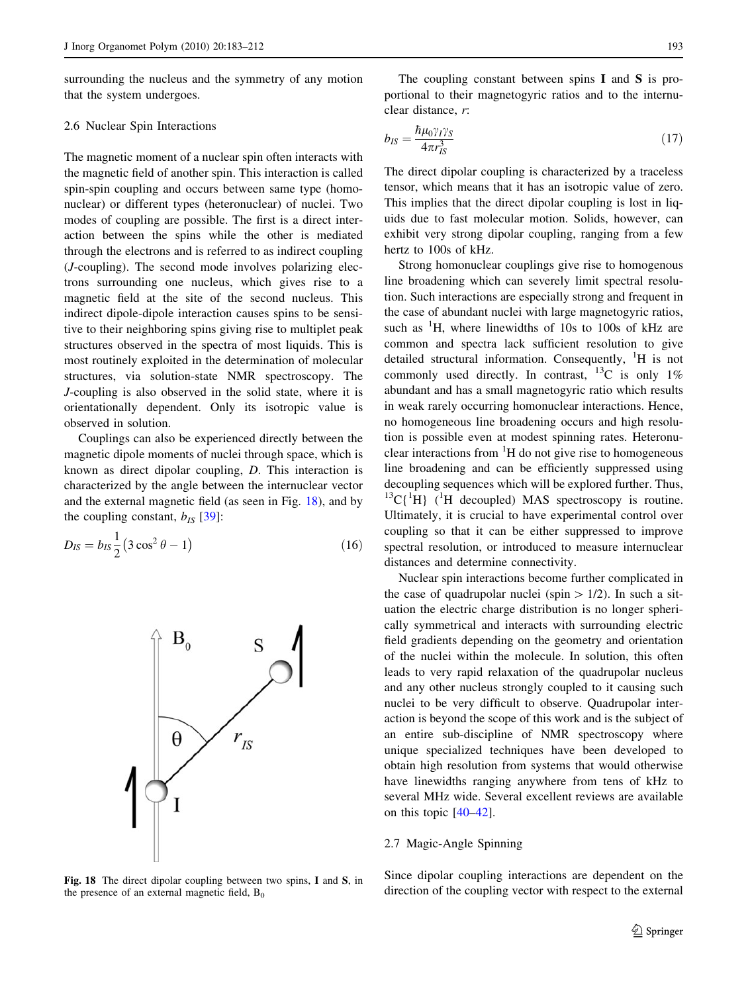surrounding the nucleus and the symmetry of any motion that the system undergoes.

### 2.6 Nuclear Spin Interactions

The magnetic moment of a nuclear spin often interacts with the magnetic field of another spin. This interaction is called spin-spin coupling and occurs between same type (homonuclear) or different types (heteronuclear) of nuclei. Two modes of coupling are possible. The first is a direct interaction between the spins while the other is mediated through the electrons and is referred to as indirect coupling (J-coupling). The second mode involves polarizing electrons surrounding one nucleus, which gives rise to a magnetic field at the site of the second nucleus. This indirect dipole-dipole interaction causes spins to be sensitive to their neighboring spins giving rise to multiplet peak structures observed in the spectra of most liquids. This is most routinely exploited in the determination of molecular structures, via solution-state NMR spectroscopy. The J-coupling is also observed in the solid state, where it is orientationally dependent. Only its isotropic value is observed in solution.

Couplings can also be experienced directly between the magnetic dipole moments of nuclei through space, which is known as direct dipolar coupling, D. This interaction is characterized by the angle between the internuclear vector and the external magnetic field (as seen in Fig. 18), and by the coupling constant,  $b_{IS}$  [\[39](#page-25-0)]:

$$
D_{IS} = b_{IS} \frac{1}{2} (3 \cos^2 \theta - 1)
$$
 (16)



Fig. 18 The direct dipolar coupling between two spins, I and S, in the presence of an external magnetic field,  $B_0$ 

The coupling constant between spins I and S is proportional to their magnetogyric ratios and to the internuclear distance, r:

$$
b_{IS} = \frac{\hbar \mu_0 \gamma_I \gamma_S}{4\pi r_{IS}^3} \tag{17}
$$

The direct dipolar coupling is characterized by a traceless tensor, which means that it has an isotropic value of zero. This implies that the direct dipolar coupling is lost in liquids due to fast molecular motion. Solids, however, can exhibit very strong dipolar coupling, ranging from a few hertz to 100s of kHz.

Strong homonuclear couplings give rise to homogenous line broadening which can severely limit spectral resolution. Such interactions are especially strong and frequent in the case of abundant nuclei with large magnetogyric ratios, such as  ${}^{1}H$ , where linewidths of 10s to 100s of kHz are common and spectra lack sufficient resolution to give detailed structural information. Consequently, <sup>1</sup>H is not commonly used directly. In contrast, <sup>13</sup>C is only 1% abundant and has a small magnetogyric ratio which results in weak rarely occurring homonuclear interactions. Hence, no homogeneous line broadening occurs and high resolution is possible even at modest spinning rates. Heteronuclear interactions from  ${}^{1}H$  do not give rise to homogeneous line broadening and can be efficiently suppressed using decoupling sequences which will be explored further. Thus,  ${}^{13}C[{^1}H]$  (<sup>1</sup>H decoupled) MAS spectroscopy is routine. Ultimately, it is crucial to have experimental control over coupling so that it can be either suppressed to improve spectral resolution, or introduced to measure internuclear distances and determine connectivity.

Nuclear spin interactions become further complicated in the case of quadrupolar nuclei (spin  $> 1/2$ ). In such a situation the electric charge distribution is no longer spherically symmetrical and interacts with surrounding electric field gradients depending on the geometry and orientation of the nuclei within the molecule. In solution, this often leads to very rapid relaxation of the quadrupolar nucleus and any other nucleus strongly coupled to it causing such nuclei to be very difficult to observe. Quadrupolar interaction is beyond the scope of this work and is the subject of an entire sub-discipline of NMR spectroscopy where unique specialized techniques have been developed to obtain high resolution from systems that would otherwise have linewidths ranging anywhere from tens of kHz to several MHz wide. Several excellent reviews are available on this topic [[40–42\]](#page-25-0).

## 2.7 Magic-Angle Spinning

Since dipolar coupling interactions are dependent on the direction of the coupling vector with respect to the external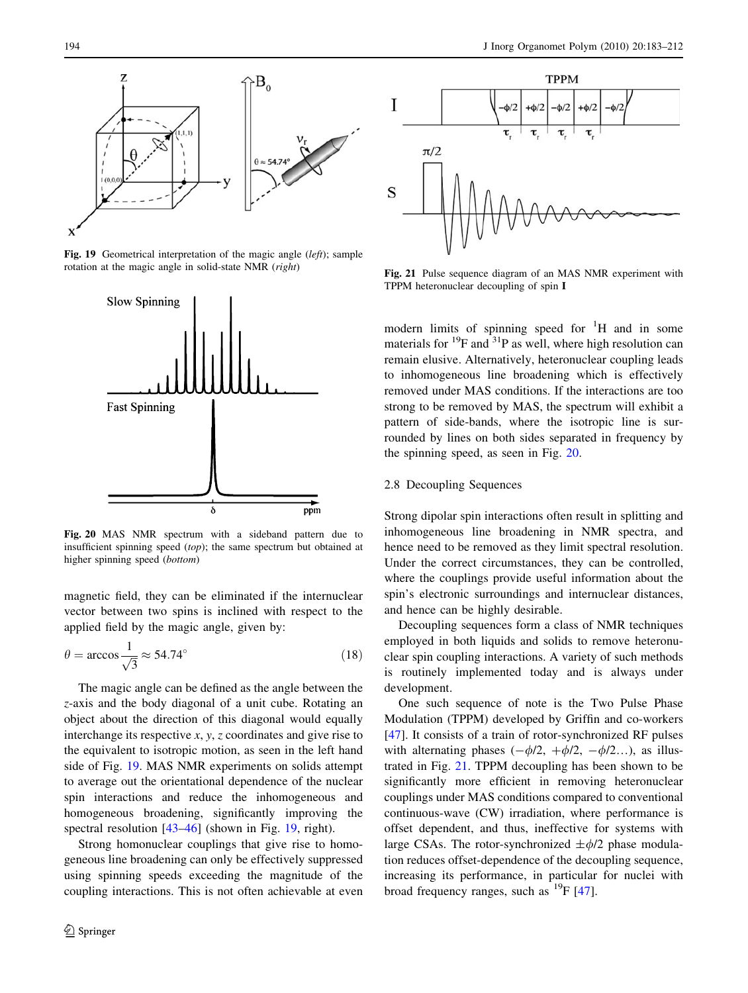

Fig. 19 Geometrical interpretation of the magic angle (left); sample rotation at the magic angle in solid-state NMR (right)



Fig. 20 MAS NMR spectrum with a sideband pattern due to insufficient spinning speed (top); the same spectrum but obtained at higher spinning speed (bottom)

magnetic field, they can be eliminated if the internuclear vector between two spins is inclined with respect to the applied field by the magic angle, given by:

$$
\theta = \arccos \frac{1}{\sqrt{3}} \approx 54.74^{\circ}
$$
\n(18)

The magic angle can be defined as the angle between the z-axis and the body diagonal of a unit cube. Rotating an object about the direction of this diagonal would equally interchange its respective  $x, y, z$  coordinates and give rise to the equivalent to isotropic motion, as seen in the left hand side of Fig. 19. MAS NMR experiments on solids attempt to average out the orientational dependence of the nuclear spin interactions and reduce the inhomogeneous and homogeneous broadening, significantly improving the spectral resolution [\[43–46](#page-25-0)] (shown in Fig. 19, right).

Strong homonuclear couplings that give rise to homogeneous line broadening can only be effectively suppressed using spinning speeds exceeding the magnitude of the coupling interactions. This is not often achievable at even



Fig. 21 Pulse sequence diagram of an MAS NMR experiment with TPPM heteronuclear decoupling of spin I

modern limits of spinning speed for  $H$  and in some materials for  $^{19}$ F and  $^{31}$ P as well, where high resolution can remain elusive. Alternatively, heteronuclear coupling leads to inhomogeneous line broadening which is effectively removed under MAS conditions. If the interactions are too strong to be removed by MAS, the spectrum will exhibit a pattern of side-bands, where the isotropic line is surrounded by lines on both sides separated in frequency by the spinning speed, as seen in Fig. 20.

## 2.8 Decoupling Sequences

Strong dipolar spin interactions often result in splitting and inhomogeneous line broadening in NMR spectra, and hence need to be removed as they limit spectral resolution. Under the correct circumstances, they can be controlled, where the couplings provide useful information about the spin's electronic surroundings and internuclear distances, and hence can be highly desirable.

Decoupling sequences form a class of NMR techniques employed in both liquids and solids to remove heteronuclear spin coupling interactions. A variety of such methods is routinely implemented today and is always under development.

One such sequence of note is the Two Pulse Phase Modulation (TPPM) developed by Griffin and co-workers [\[47](#page-25-0)]. It consists of a train of rotor-synchronized RF pulses with alternating phases  $(-\phi/2, +\phi/2, -\phi/2...)$ , as illustrated in Fig. 21. TPPM decoupling has been shown to be significantly more efficient in removing heteronuclear couplings under MAS conditions compared to conventional continuous-wave (CW) irradiation, where performance is offset dependent, and thus, ineffective for systems with large CSAs. The rotor-synchronized  $\pm \phi/2$  phase modulation reduces offset-dependence of the decoupling sequence, increasing its performance, in particular for nuclei with broad frequency ranges, such as  $^{19}F$  [\[47](#page-25-0)].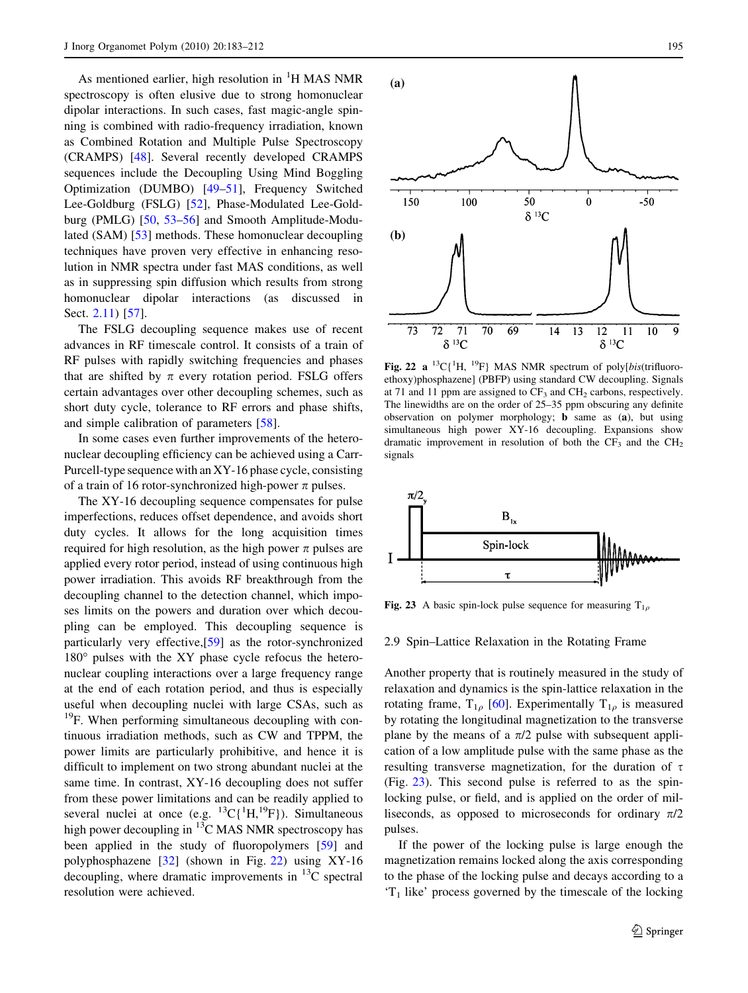As mentioned earlier, high resolution in  ${}^{1}H$  MAS NMR spectroscopy is often elusive due to strong homonuclear dipolar interactions. In such cases, fast magic-angle spinning is combined with radio-frequency irradiation, known as Combined Rotation and Multiple Pulse Spectroscopy (CRAMPS) [[48\]](#page-25-0). Several recently developed CRAMPS sequences include the Decoupling Using Mind Boggling Optimization (DUMBO) [[49–51\]](#page-25-0), Frequency Switched Lee-Goldburg (FSLG) [[52\]](#page-25-0), Phase-Modulated Lee-Goldburg (PMLG) [\[50](#page-25-0), [53–56\]](#page-25-0) and Smooth Amplitude-Modulated (SAM) [[53\]](#page-25-0) methods. These homonuclear decoupling techniques have proven very effective in enhancing resolution in NMR spectra under fast MAS conditions, as well as in suppressing spin diffusion which results from strong homonuclear dipolar interactions (as discussed in Sect. [2.11\)](#page-14-0) [[57\]](#page-25-0).

The FSLG decoupling sequence makes use of recent advances in RF timescale control. It consists of a train of RF pulses with rapidly switching frequencies and phases that are shifted by  $\pi$  every rotation period. FSLG offers certain advantages over other decoupling schemes, such as short duty cycle, tolerance to RF errors and phase shifts, and simple calibration of parameters [\[58](#page-25-0)].

In some cases even further improvements of the heteronuclear decoupling efficiency can be achieved using a Carr-Purcell-type sequence with an XY-16 phase cycle, consisting of a train of 16 rotor-synchronized high-power  $\pi$  pulses.

The XY-16 decoupling sequence compensates for pulse imperfections, reduces offset dependence, and avoids short duty cycles. It allows for the long acquisition times required for high resolution, as the high power  $\pi$  pulses are applied every rotor period, instead of using continuous high power irradiation. This avoids RF breakthrough from the decoupling channel to the detection channel, which imposes limits on the powers and duration over which decoupling can be employed. This decoupling sequence is particularly very effective,[\[59](#page-25-0)] as the rotor-synchronized  $180^\circ$  pulses with the XY phase cycle refocus the heteronuclear coupling interactions over a large frequency range at the end of each rotation period, and thus is especially useful when decoupling nuclei with large CSAs, such as <sup>19</sup>F. When performing simultaneous decoupling with continuous irradiation methods, such as CW and TPPM, the power limits are particularly prohibitive, and hence it is difficult to implement on two strong abundant nuclei at the same time. In contrast, XY-16 decoupling does not suffer from these power limitations and can be readily applied to several nuclei at once (e.g.  ${}^{13}C[{^{1}H}, {}^{19}F)$ ). Simultaneous high power decoupling in  ${}^{13}$ C MAS NMR spectroscopy has been applied in the study of fluoropolymers [\[59](#page-25-0)] and polyphosphazene [\[32](#page-25-0)] (shown in Fig. 22) using XY-16 decoupling, where dramatic improvements in  $^{13}$ C spectral resolution were achieved.



Fig. 22 a <sup>13</sup>C{<sup>1</sup>H, <sup>19</sup>F} MAS NMR spectrum of poly[bis(trifluoroethoxy)phosphazene] (PBFP) using standard CW decoupling. Signals at 71 and 11 ppm are assigned to  $CF_3$  and  $CH_2$  carbons, respectively. The linewidths are on the order of 25–35 ppm obscuring any definite observation on polymer morphology; b same as (a), but using simultaneous high power XY-16 decoupling. Expansions show dramatic improvement in resolution of both the  $CF_3$  and the  $CH_2$ signals



Fig. 23 A basic spin-lock pulse sequence for measuring  $T_{1q}$ 

#### 2.9 Spin–Lattice Relaxation in the Rotating Frame

Another property that is routinely measured in the study of relaxation and dynamics is the spin-lattice relaxation in the rotating frame,  $T_{1\rho}$  [\[60](#page-26-0)]. Experimentally  $T_{1\rho}$  is measured by rotating the longitudinal magnetization to the transverse plane by the means of a  $\pi/2$  pulse with subsequent application of a low amplitude pulse with the same phase as the resulting transverse magnetization, for the duration of  $\tau$ (Fig. 23). This second pulse is referred to as the spinlocking pulse, or field, and is applied on the order of milliseconds, as opposed to microseconds for ordinary  $\pi/2$ pulses.

If the power of the locking pulse is large enough the magnetization remains locked along the axis corresponding to the phase of the locking pulse and decays according to a  $T_1$  like' process governed by the timescale of the locking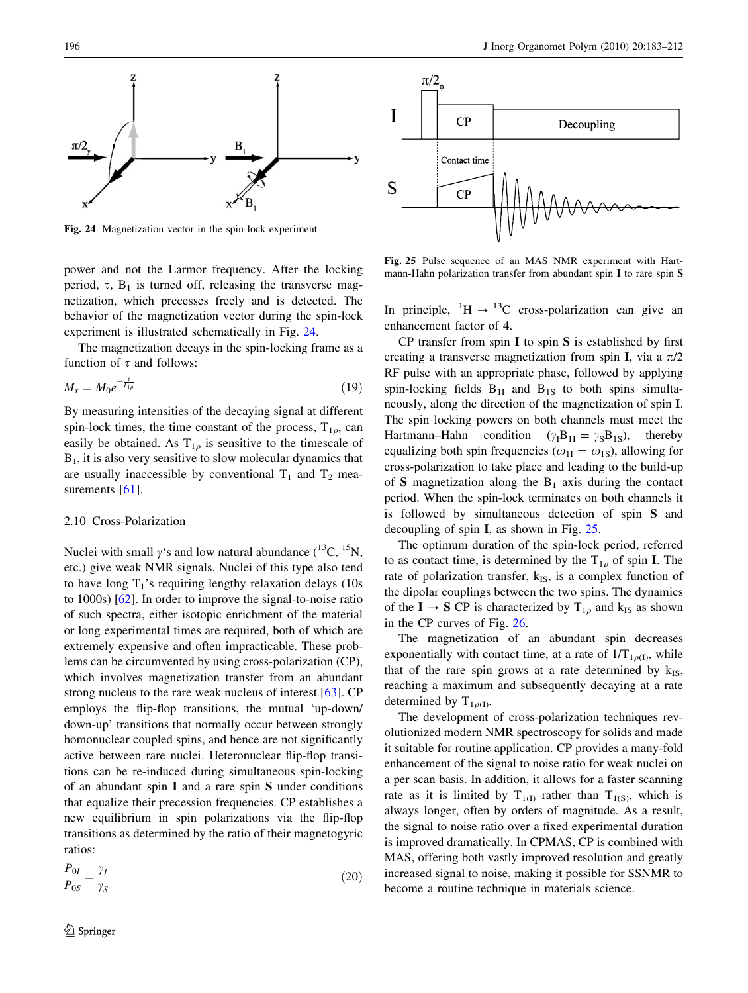

Fig. 24 Magnetization vector in the spin-lock experiment

power and not the Larmor frequency. After the locking period,  $\tau$ ,  $B_1$  is turned off, releasing the transverse magnetization, which precesses freely and is detected. The behavior of the magnetization vector during the spin-lock experiment is illustrated schematically in Fig. 24.

The magnetization decays in the spin-locking frame as a function of  $\tau$  and follows:

$$
M_x = M_0 e^{-\frac{\tau}{T_{1\rho}}} \tag{19}
$$

By measuring intensities of the decaying signal at different spin-lock times, the time constant of the process,  $T_{1\rho}$ , can easily be obtained. As  $T_{1\rho}$  is sensitive to the timescale of  $B<sub>1</sub>$ , it is also very sensitive to slow molecular dynamics that are usually inaccessible by conventional  $T_1$  and  $T_2$  mea-surements [\[61](#page-26-0)].

## 2.10 Cross-Polarization

Nuclei with small  $\gamma$ 's and low natural abundance (<sup>13</sup>C, <sup>15</sup>N, etc.) give weak NMR signals. Nuclei of this type also tend to have long  $T_1$ 's requiring lengthy relaxation delays (10s) to 1000s) [\[62](#page-26-0)]. In order to improve the signal-to-noise ratio of such spectra, either isotopic enrichment of the material or long experimental times are required, both of which are extremely expensive and often impracticable. These problems can be circumvented by using cross-polarization (CP), which involves magnetization transfer from an abundant strong nucleus to the rare weak nucleus of interest [[63\]](#page-26-0). CP employs the flip-flop transitions, the mutual 'up-down/ down-up' transitions that normally occur between strongly homonuclear coupled spins, and hence are not significantly active between rare nuclei. Heteronuclear flip-flop transitions can be re-induced during simultaneous spin-locking of an abundant spin I and a rare spin S under conditions that equalize their precession frequencies. CP establishes a new equilibrium in spin polarizations via the flip-flop transitions as determined by the ratio of their magnetogyric ratios:

$$
\frac{P_{0I}}{P_{0S}} = \frac{\gamma_I}{\gamma_S} \tag{20}
$$



Fig. 25 Pulse sequence of an MAS NMR experiment with Hartmann-Hahn polarization transfer from abundant spin I to rare spin S

In principle,  ${}^{1}H \rightarrow {}^{13}C$  cross-polarization can give an enhancement factor of 4.

CP transfer from spin  $I$  to spin  $S$  is established by first creating a transverse magnetization from spin I, via a  $\pi/2$ RF pulse with an appropriate phase, followed by applying spin-locking fields  $B_{1I}$  and  $B_{1S}$  to both spins simultaneously, along the direction of the magnetization of spin I. The spin locking powers on both channels must meet the Hartmann–Hahn condition  $(\gamma_1 B_{1I} = \gamma_S B_{1S})$ , thereby equalizing both spin frequencies ( $\omega_{1I} = \omega_{1S}$ ), allowing for cross-polarization to take place and leading to the build-up of S magnetization along the  $B_1$  axis during the contact period. When the spin-lock terminates on both channels it is followed by simultaneous detection of spin S and decoupling of spin I, as shown in Fig. 25.

The optimum duration of the spin-lock period, referred to as contact time, is determined by the  $T_{1\rho}$  of spin I. The rate of polarization transfer,  $k_{IS}$ , is a complex function of the dipolar couplings between the two spins. The dynamics of the  $I \rightarrow S$  CP is characterized by  $T_{1\rho}$  and k<sub>IS</sub> as shown in the CP curves of Fig. [26](#page-14-0).

The magnetization of an abundant spin decreases exponentially with contact time, at a rate of  $1/T_{1\rho(I)}$ , while that of the rare spin grows at a rate determined by  $k_{IS}$ , reaching a maximum and subsequently decaying at a rate determined by  $T_{1\rho(I)}$ .

The development of cross-polarization techniques revolutionized modern NMR spectroscopy for solids and made it suitable for routine application. CP provides a many-fold enhancement of the signal to noise ratio for weak nuclei on a per scan basis. In addition, it allows for a faster scanning rate as it is limited by  $T_{1(1)}$  rather than  $T_{1(8)}$ , which is always longer, often by orders of magnitude. As a result, the signal to noise ratio over a fixed experimental duration is improved dramatically. In CPMAS, CP is combined with MAS, offering both vastly improved resolution and greatly increased signal to noise, making it possible for SSNMR to become a routine technique in materials science.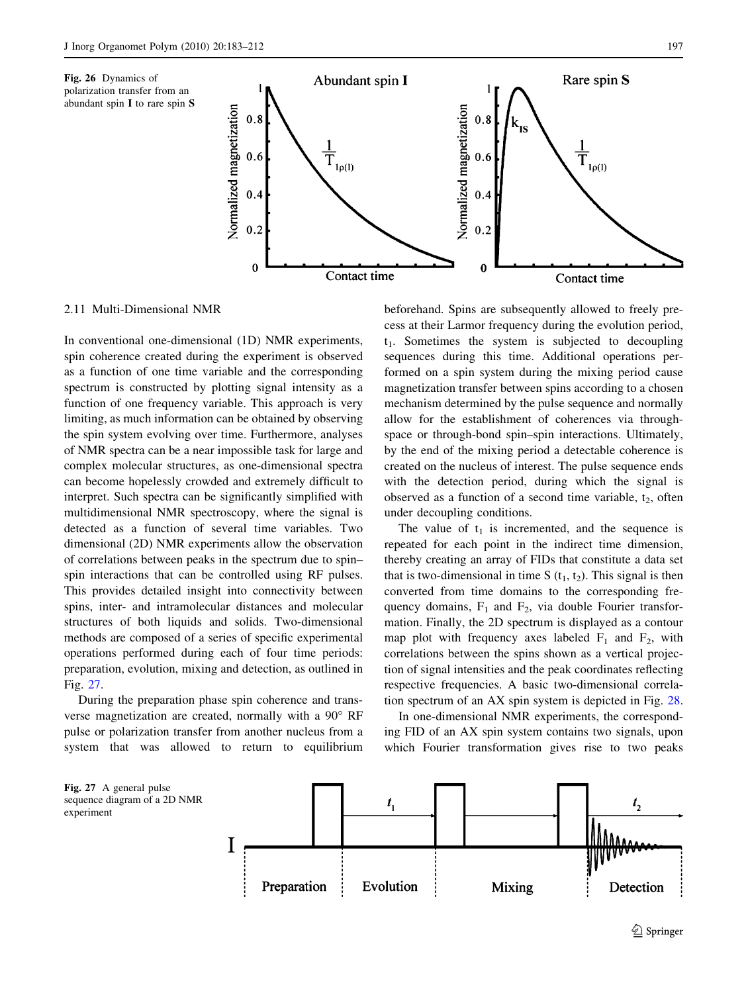Fig. 26 Dynamics of



<span id="page-14-0"></span>

2.11 Multi-Dimensional NMR

In conventional one-dimensional (1D) NMR experiments, spin coherence created during the experiment is observed as a function of one time variable and the corresponding spectrum is constructed by plotting signal intensity as a function of one frequency variable. This approach is very limiting, as much information can be obtained by observing the spin system evolving over time. Furthermore, analyses of NMR spectra can be a near impossible task for large and complex molecular structures, as one-dimensional spectra can become hopelessly crowded and extremely difficult to interpret. Such spectra can be significantly simplified with multidimensional NMR spectroscopy, where the signal is detected as a function of several time variables. Two dimensional (2D) NMR experiments allow the observation of correlations between peaks in the spectrum due to spin– spin interactions that can be controlled using RF pulses. This provides detailed insight into connectivity between spins, inter- and intramolecular distances and molecular structures of both liquids and solids. Two-dimensional methods are composed of a series of specific experimental operations performed during each of four time periods: preparation, evolution, mixing and detection, as outlined in Fig. 27.

During the preparation phase spin coherence and transverse magnetization are created, normally with a 90° RF pulse or polarization transfer from another nucleus from a system that was allowed to return to equilibrium

experiment

beforehand. Spins are subsequently allowed to freely precess at their Larmor frequency during the evolution period,  $t_1$ . Sometimes the system is subjected to decoupling sequences during this time. Additional operations performed on a spin system during the mixing period cause magnetization transfer between spins according to a chosen mechanism determined by the pulse sequence and normally allow for the establishment of coherences via throughspace or through-bond spin–spin interactions. Ultimately, by the end of the mixing period a detectable coherence is created on the nucleus of interest. The pulse sequence ends with the detection period, during which the signal is observed as a function of a second time variable,  $t_2$ , often under decoupling conditions.

The value of  $t_1$  is incremented, and the sequence is repeated for each point in the indirect time dimension, thereby creating an array of FIDs that constitute a data set that is two-dimensional in time S  $(t_1, t_2)$ . This signal is then converted from time domains to the corresponding frequency domains,  $F_1$  and  $F_2$ , via double Fourier transformation. Finally, the 2D spectrum is displayed as a contour map plot with frequency axes labeled  $F_1$  and  $F_2$ , with correlations between the spins shown as a vertical projection of signal intensities and the peak coordinates reflecting respective frequencies. A basic two-dimensional correlation spectrum of an AX spin system is depicted in Fig. [28.](#page-15-0)

In one-dimensional NMR experiments, the corresponding FID of an AX spin system contains two signals, upon which Fourier transformation gives rise to two peaks

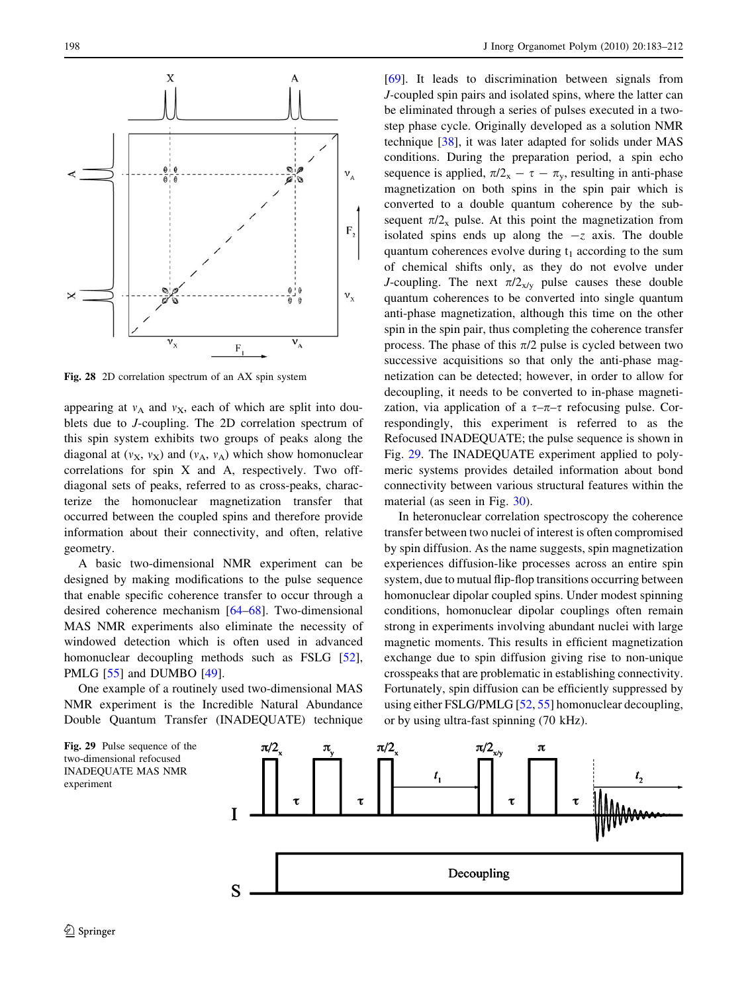<span id="page-15-0"></span>

Fig. 28 2D correlation spectrum of an AX spin system

appearing at  $v_A$  and  $v_X$ , each of which are split into doublets due to J-coupling. The 2D correlation spectrum of this spin system exhibits two groups of peaks along the diagonal at  $(v_X, v_X)$  and  $(v_A, v_A)$  which show homonuclear correlations for spin X and A, respectively. Two offdiagonal sets of peaks, referred to as cross-peaks, characterize the homonuclear magnetization transfer that occurred between the coupled spins and therefore provide information about their connectivity, and often, relative geometry.

A basic two-dimensional NMR experiment can be designed by making modifications to the pulse sequence that enable specific coherence transfer to occur through a desired coherence mechanism [\[64–68](#page-26-0)]. Two-dimensional MAS NMR experiments also eliminate the necessity of windowed detection which is often used in advanced homonuclear decoupling methods such as FSLG [\[52](#page-25-0)], PMLG [\[55](#page-25-0)] and DUMBO [\[49](#page-25-0)].

One example of a routinely used two-dimensional MAS NMR experiment is the Incredible Natural Abundance Double Quantum Transfer (INADEQUATE) technique [\[69](#page-26-0)]. It leads to discrimination between signals from J-coupled spin pairs and isolated spins, where the latter can be eliminated through a series of pulses executed in a twostep phase cycle. Originally developed as a solution NMR technique [[38\]](#page-25-0), it was later adapted for solids under MAS conditions. During the preparation period, a spin echo sequence is applied,  $\pi/2_x - \tau - \pi_y$ , resulting in anti-phase magnetization on both spins in the spin pair which is converted to a double quantum coherence by the subsequent  $\pi/2_x$  pulse. At this point the magnetization from isolated spins ends up along the  $-z$  axis. The double quantum coherences evolve during  $t_1$  according to the sum of chemical shifts only, as they do not evolve under J-coupling. The next  $\pi/2_{x/v}$  pulse causes these double quantum coherences to be converted into single quantum anti-phase magnetization, although this time on the other spin in the spin pair, thus completing the coherence transfer process. The phase of this  $\pi/2$  pulse is cycled between two successive acquisitions so that only the anti-phase magnetization can be detected; however, in order to allow for decoupling, it needs to be converted to in-phase magnetization, via application of a  $\tau-\pi-\tau$  refocusing pulse. Correspondingly, this experiment is referred to as the Refocused INADEQUATE; the pulse sequence is shown in Fig. 29. The INADEQUATE experiment applied to polymeric systems provides detailed information about bond connectivity between various structural features within the material (as seen in Fig. [30\)](#page-16-0).

In heteronuclear correlation spectroscopy the coherence transfer between two nuclei of interest is often compromised by spin diffusion. As the name suggests, spin magnetization experiences diffusion-like processes across an entire spin system, due to mutual flip-flop transitions occurring between homonuclear dipolar coupled spins. Under modest spinning conditions, homonuclear dipolar couplings often remain strong in experiments involving abundant nuclei with large magnetic moments. This results in efficient magnetization exchange due to spin diffusion giving rise to non-unique crosspeaks that are problematic in establishing connectivity. Fortunately, spin diffusion can be efficiently suppressed by using either FSLG/PMLG [[52,](#page-25-0) [55](#page-25-0)] homonuclear decoupling, or by using ultra-fast spinning (70 kHz).



Fig. 29 Pulse sequence of the two-dimensional refocused INADEQUATE MAS NMR experiment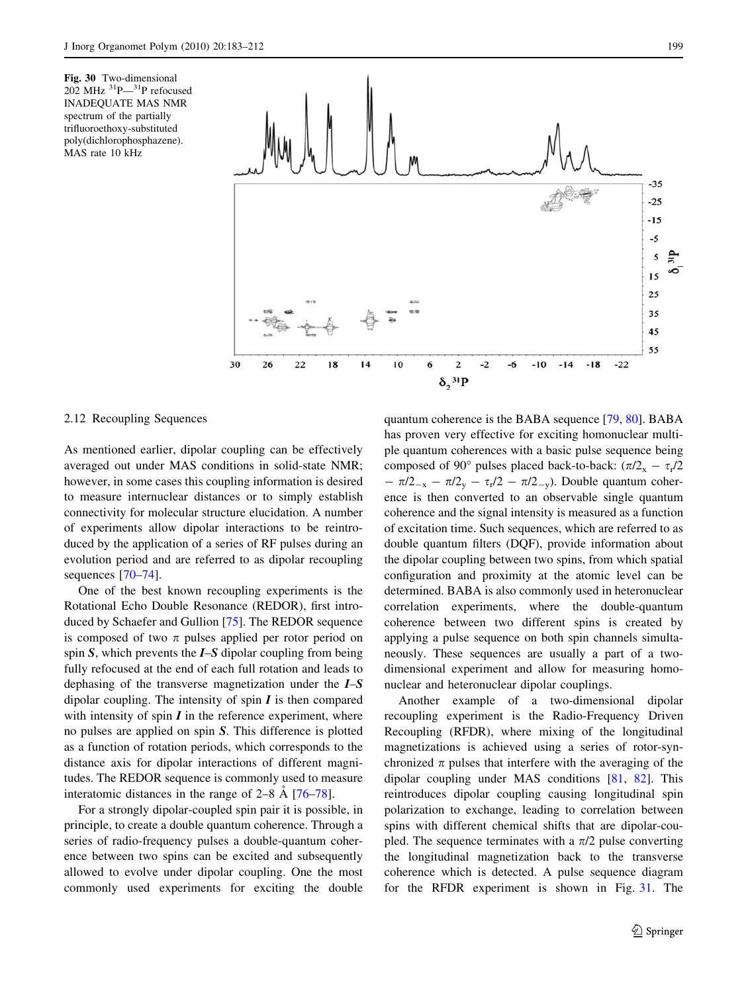<span id="page-16-0"></span>Fig. 30 Two-dimensional  $202$  MHz  $^{31}P-^{31}P$  refocused INADEQUATE MAS NMR spectrum of the partially trifluoroethoxy-substituted poly(dichlorophosphazene). MAS rate 10 kHz



## 2.12 Recoupling Sequences

As mentioned earlier, dipolar coupling can be effectively averaged out under MAS conditions in solid-state NMR; however, in some cases this coupling information is desired to measure internuclear distances or to simply establish connectivity for molecular structure elucidation. A number of experiments allow dipolar interactions to be reintroduced by the application of a series of RF pulses during an evolution period and are referred to as dipolar recoupling sequences [\[70–74](#page-26-0)].

One of the best known recoupling experiments is the Rotational Echo Double Resonance (REDOR), first introduced by Schaefer and Gullion [\[75](#page-26-0)]. The REDOR sequence is composed of two  $\pi$  pulses applied per rotor period on spin  $S$ , which prevents the  $I-S$  dipolar coupling from being fully refocused at the end of each full rotation and leads to dephasing of the transverse magnetization under the I–S dipolar coupling. The intensity of spin  $I$  is then compared with intensity of spin  $I$  in the reference experiment, where no pulses are applied on spin S. This difference is plotted as a function of rotation periods, which corresponds to the distance axis for dipolar interactions of different magnitudes. The REDOR sequence is commonly used to measure interatomic distances in the range of  $2-8$  Å  $[76-78]$ .

For a strongly dipolar-coupled spin pair it is possible, in principle, to create a double quantum coherence. Through a series of radio-frequency pulses a double-quantum coherence between two spins can be excited and subsequently allowed to evolve under dipolar coupling. One the most commonly used experiments for exciting the double quantum coherence is the BABA sequence [\[79](#page-26-0), [80](#page-26-0)]. BABA has proven very effective for exciting homonuclear multiple quantum coherences with a basic pulse sequence being composed of 90° pulses placed back-to-back:  $(\pi/2_x - \tau_r/2$  $-\pi/2_{-x} - \pi/2_{\rm v} - \tau_{\rm r}/2 - \pi/2_{-\rm v})$ . Double quantum coherence is then converted to an observable single quantum coherence and the signal intensity is measured as a function of excitation time. Such sequences, which are referred to as double quantum filters (DQF), provide information about the dipolar coupling between two spins, from which spatial configuration and proximity at the atomic level can be determined. BABA is also commonly used in heteronuclear correlation experiments, where the double-quantum coherence between two different spins is created by applying a pulse sequence on both spin channels simultaneously. These sequences are usually a part of a twodimensional experiment and allow for measuring homonuclear and heteronuclear dipolar couplings.

Another example of a two-dimensional dipolar recoupling experiment is the Radio-Frequency Driven Recoupling (RFDR), where mixing of the longitudinal magnetizations is achieved using a series of rotor-synchronized  $\pi$  pulses that interfere with the averaging of the dipolar coupling under MAS conditions [[81,](#page-26-0) [82](#page-26-0)]. This reintroduces dipolar coupling causing longitudinal spin polarization to exchange, leading to correlation between spins with different chemical shifts that are dipolar-coupled. The sequence terminates with a  $\pi/2$  pulse converting the longitudinal magnetization back to the transverse coherence which is detected. A pulse sequence diagram for the RFDR experiment is shown in Fig. [31](#page-17-0). The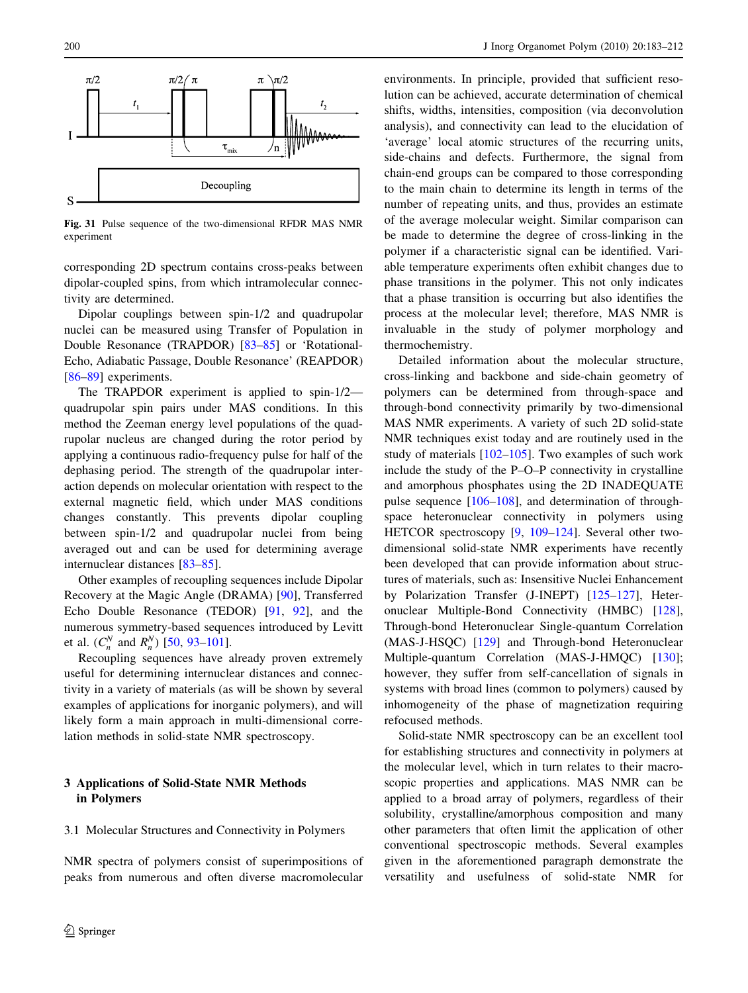<span id="page-17-0"></span>

Fig. 31 Pulse sequence of the two-dimensional RFDR MAS NMR experiment

corresponding 2D spectrum contains cross-peaks between dipolar-coupled spins, from which intramolecular connectivity are determined.

Dipolar couplings between spin-1/2 and quadrupolar nuclei can be measured using Transfer of Population in Double Resonance (TRAPDOR) [[83–85\]](#page-26-0) or 'Rotational-Echo, Adiabatic Passage, Double Resonance' (REAPDOR) [\[86–89](#page-26-0)] experiments.

The TRAPDOR experiment is applied to spin-1/2 quadrupolar spin pairs under MAS conditions. In this method the Zeeman energy level populations of the quadrupolar nucleus are changed during the rotor period by applying a continuous radio-frequency pulse for half of the dephasing period. The strength of the quadrupolar interaction depends on molecular orientation with respect to the external magnetic field, which under MAS conditions changes constantly. This prevents dipolar coupling between spin-1/2 and quadrupolar nuclei from being averaged out and can be used for determining average internuclear distances [[83–85\]](#page-26-0).

Other examples of recoupling sequences include Dipolar Recovery at the Magic Angle (DRAMA) [[90\]](#page-26-0), Transferred Echo Double Resonance (TEDOR) [\[91](#page-26-0), [92](#page-26-0)], and the numerous symmetry-based sequences introduced by Levitt et al.  $(C_n^N \text{ and } R_n^N)$  [\[50](#page-25-0), [93–101](#page-26-0)].

Recoupling sequences have already proven extremely useful for determining internuclear distances and connectivity in a variety of materials (as will be shown by several examples of applications for inorganic polymers), and will likely form a main approach in multi-dimensional correlation methods in solid-state NMR spectroscopy.

## 3 Applications of Solid-State NMR Methods in Polymers

#### 3.1 Molecular Structures and Connectivity in Polymers

NMR spectra of polymers consist of superimpositions of peaks from numerous and often diverse macromolecular environments. In principle, provided that sufficient resolution can be achieved, accurate determination of chemical shifts, widths, intensities, composition (via deconvolution analysis), and connectivity can lead to the elucidation of 'average' local atomic structures of the recurring units, side-chains and defects. Furthermore, the signal from chain-end groups can be compared to those corresponding to the main chain to determine its length in terms of the number of repeating units, and thus, provides an estimate of the average molecular weight. Similar comparison can be made to determine the degree of cross-linking in the polymer if a characteristic signal can be identified. Variable temperature experiments often exhibit changes due to phase transitions in the polymer. This not only indicates that a phase transition is occurring but also identifies the process at the molecular level; therefore, MAS NMR is invaluable in the study of polymer morphology and thermochemistry.

Detailed information about the molecular structure, cross-linking and backbone and side-chain geometry of polymers can be determined from through-space and through-bond connectivity primarily by two-dimensional MAS NMR experiments. A variety of such 2D solid-state NMR techniques exist today and are routinely used in the study of materials [\[102–105](#page-26-0)]. Two examples of such work include the study of the P–O–P connectivity in crystalline and amorphous phosphates using the 2D INADEQUATE pulse sequence [\[106–108](#page-26-0)], and determination of throughspace heteronuclear connectivity in polymers using HETCOR spectroscopy [\[9](#page-25-0), [109–124\]](#page-26-0). Several other twodimensional solid-state NMR experiments have recently been developed that can provide information about structures of materials, such as: Insensitive Nuclei Enhancement by Polarization Transfer (J-INEPT) [\[125](#page-26-0)[–127](#page-27-0)], Heteronuclear Multiple-Bond Connectivity (HMBC) [\[128](#page-27-0)], Through-bond Heteronuclear Single-quantum Correlation (MAS-J-HSQC) [\[129](#page-27-0)] and Through-bond Heteronuclear Multiple-quantum Correlation (MAS-J-HMQC) [\[130](#page-27-0)]; however, they suffer from self-cancellation of signals in systems with broad lines (common to polymers) caused by inhomogeneity of the phase of magnetization requiring refocused methods.

Solid-state NMR spectroscopy can be an excellent tool for establishing structures and connectivity in polymers at the molecular level, which in turn relates to their macroscopic properties and applications. MAS NMR can be applied to a broad array of polymers, regardless of their solubility, crystalline/amorphous composition and many other parameters that often limit the application of other conventional spectroscopic methods. Several examples given in the aforementioned paragraph demonstrate the versatility and usefulness of solid-state NMR for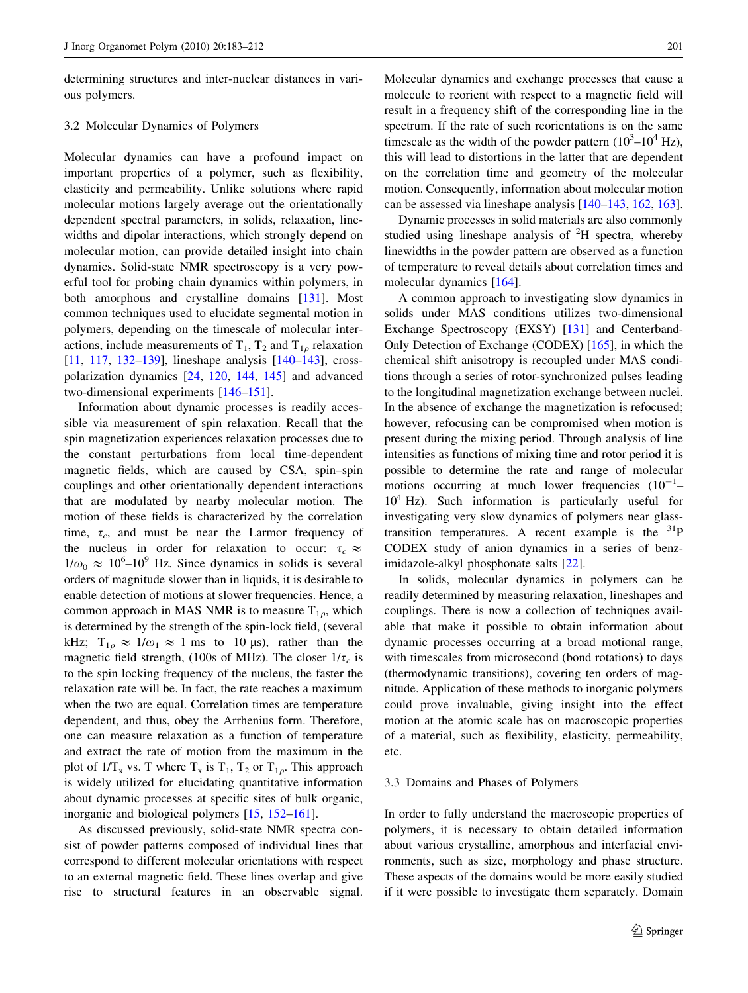determining structures and inter-nuclear distances in various polymers.

## 3.2 Molecular Dynamics of Polymers

Molecular dynamics can have a profound impact on important properties of a polymer, such as flexibility, elasticity and permeability. Unlike solutions where rapid molecular motions largely average out the orientationally dependent spectral parameters, in solids, relaxation, linewidths and dipolar interactions, which strongly depend on molecular motion, can provide detailed insight into chain dynamics. Solid-state NMR spectroscopy is a very powerful tool for probing chain dynamics within polymers, in both amorphous and crystalline domains [[131\]](#page-27-0). Most common techniques used to elucidate segmental motion in polymers, depending on the timescale of molecular interactions, include measurements of  $T_1$ ,  $T_2$  and  $T_{1q}$  relaxation [\[11](#page-25-0), [117](#page-26-0), [132–139\]](#page-27-0), lineshape analysis [\[140–143](#page-27-0)], crosspolarization dynamics [\[24](#page-25-0), [120](#page-26-0), [144,](#page-27-0) [145\]](#page-27-0) and advanced two-dimensional experiments [\[146–151](#page-27-0)].

Information about dynamic processes is readily accessible via measurement of spin relaxation. Recall that the spin magnetization experiences relaxation processes due to the constant perturbations from local time-dependent magnetic fields, which are caused by CSA, spin–spin couplings and other orientationally dependent interactions that are modulated by nearby molecular motion. The motion of these fields is characterized by the correlation time,  $\tau_c$ , and must be near the Larmor frequency of the nucleus in order for relaxation to occur:  $\tau_c \approx$  $1/\omega_0 \approx 10^6 - 10^9$  Hz. Since dynamics in solids is several orders of magnitude slower than in liquids, it is desirable to enable detection of motions at slower frequencies. Hence, a common approach in MAS NMR is to measure  $T_{1\rho}$ , which is determined by the strength of the spin-lock field, (several kHz;  $T_{1\rho} \approx 1/\omega_1 \approx 1$  ms to 10 µs), rather than the magnetic field strength, (100s of MHz). The closer  $1/\tau_c$  is to the spin locking frequency of the nucleus, the faster the relaxation rate will be. In fact, the rate reaches a maximum when the two are equal. Correlation times are temperature dependent, and thus, obey the Arrhenius form. Therefore, one can measure relaxation as a function of temperature and extract the rate of motion from the maximum in the plot of  $1/T_x$  vs. T where  $T_x$  is  $T_1$ ,  $T_2$  or  $T_{1\rho}$ . This approach is widely utilized for elucidating quantitative information about dynamic processes at specific sites of bulk organic, inorganic and biological polymers [\[15](#page-25-0), [152–161](#page-27-0)].

As discussed previously, solid-state NMR spectra consist of powder patterns composed of individual lines that correspond to different molecular orientations with respect to an external magnetic field. These lines overlap and give rise to structural features in an observable signal.

Molecular dynamics and exchange processes that cause a molecule to reorient with respect to a magnetic field will result in a frequency shift of the corresponding line in the spectrum. If the rate of such reorientations is on the same timescale as the width of the powder pattern  $(10^3 - 10^4 \text{ Hz})$ , this will lead to distortions in the latter that are dependent on the correlation time and geometry of the molecular motion. Consequently, information about molecular motion can be assessed via lineshape analysis [[140–143,](#page-27-0) [162,](#page-27-0) [163](#page-27-0)].

Dynamic processes in solid materials are also commonly studied using lineshape analysis of  ${}^{2}H$  spectra, whereby linewidths in the powder pattern are observed as a function of temperature to reveal details about correlation times and molecular dynamics [[164\]](#page-27-0).

A common approach to investigating slow dynamics in solids under MAS conditions utilizes two-dimensional Exchange Spectroscopy (EXSY) [\[131](#page-27-0)] and Centerband-Only Detection of Exchange (CODEX) [[165\]](#page-27-0), in which the chemical shift anisotropy is recoupled under MAS conditions through a series of rotor-synchronized pulses leading to the longitudinal magnetization exchange between nuclei. In the absence of exchange the magnetization is refocused; however, refocusing can be compromised when motion is present during the mixing period. Through analysis of line intensities as functions of mixing time and rotor period it is possible to determine the rate and range of molecular motions occurring at much lower frequencies  $(10^{-1} 10<sup>4</sup>$  Hz). Such information is particularly useful for investigating very slow dynamics of polymers near glasstransition temperatures. A recent example is the  $31P$ CODEX study of anion dynamics in a series of benzimidazole-alkyl phosphonate salts [[22\]](#page-25-0).

In solids, molecular dynamics in polymers can be readily determined by measuring relaxation, lineshapes and couplings. There is now a collection of techniques available that make it possible to obtain information about dynamic processes occurring at a broad motional range, with timescales from microsecond (bond rotations) to days (thermodynamic transitions), covering ten orders of magnitude. Application of these methods to inorganic polymers could prove invaluable, giving insight into the effect motion at the atomic scale has on macroscopic properties of a material, such as flexibility, elasticity, permeability, etc.

#### 3.3 Domains and Phases of Polymers

In order to fully understand the macroscopic properties of polymers, it is necessary to obtain detailed information about various crystalline, amorphous and interfacial environments, such as size, morphology and phase structure. These aspects of the domains would be more easily studied if it were possible to investigate them separately. Domain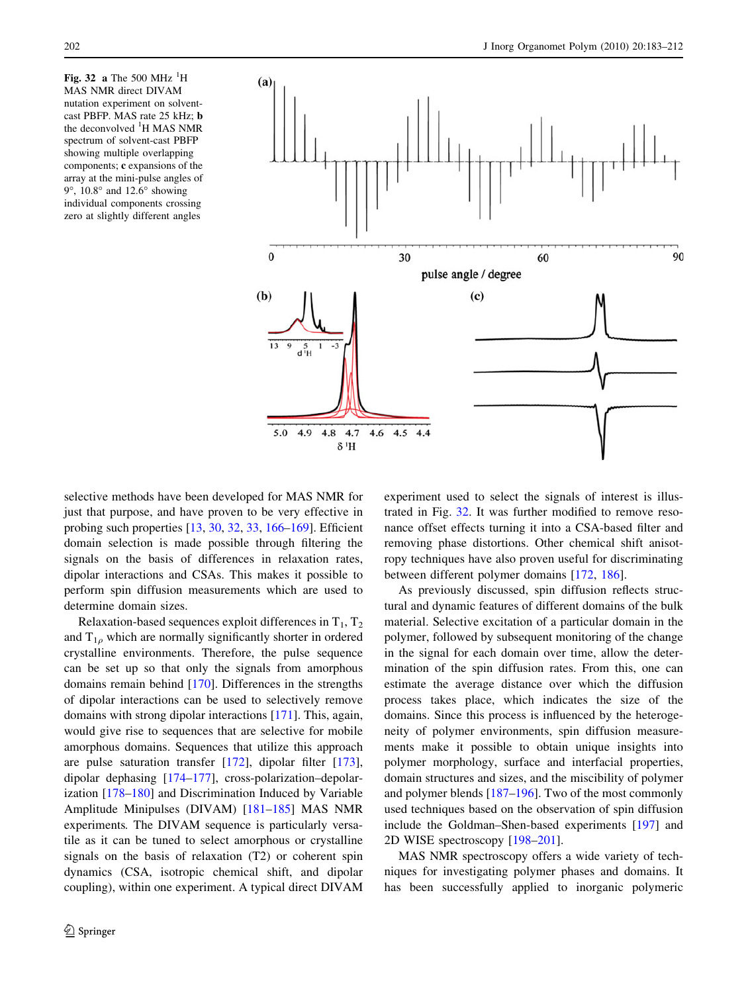Fig. 32 a The 500 MHz  $^{1}$ H MAS NMR direct DIVAM nutation experiment on solventcast PBFP. MAS rate 25 kHz; b the deconvolved <sup>1</sup>H MAS NMR spectrum of solvent-cast PBFP showing multiple overlapping components; c expansions of the array at the mini-pulse angles of  $9^\circ$ , 10.8° and 12.6° showing individual components crossing zero at slightly different angles



selective methods have been developed for MAS NMR for just that purpose, and have proven to be very effective in probing such properties [\[13](#page-25-0), [30](#page-25-0), [32](#page-25-0), [33](#page-25-0), [166–169](#page-27-0)]. Efficient domain selection is made possible through filtering the signals on the basis of differences in relaxation rates, dipolar interactions and CSAs. This makes it possible to perform spin diffusion measurements which are used to determine domain sizes.

Relaxation-based sequences exploit differences in  $T_1, T_2$ and  $T_{1\rho}$  which are normally significantly shorter in ordered crystalline environments. Therefore, the pulse sequence can be set up so that only the signals from amorphous domains remain behind [[170\]](#page-27-0). Differences in the strengths of dipolar interactions can be used to selectively remove domains with strong dipolar interactions [[171\]](#page-27-0). This, again, would give rise to sequences that are selective for mobile amorphous domains. Sequences that utilize this approach are pulse saturation transfer [\[172](#page-27-0)], dipolar filter [\[173](#page-27-0)], dipolar dephasing [\[174–177](#page-27-0)], cross-polarization–depolarization [[178–180\]](#page-27-0) and Discrimination Induced by Variable Amplitude Minipulses (DIVAM) [[181–185\]](#page-27-0) MAS NMR experiments. The DIVAM sequence is particularly versatile as it can be tuned to select amorphous or crystalline signals on the basis of relaxation (T2) or coherent spin dynamics (CSA, isotropic chemical shift, and dipolar coupling), within one experiment. A typical direct DIVAM

 $\mathcal{D}$  Springer

experiment used to select the signals of interest is illustrated in Fig. 32. It was further modified to remove resonance offset effects turning it into a CSA-based filter and removing phase distortions. Other chemical shift anisotropy techniques have also proven useful for discriminating between different polymer domains [[172,](#page-27-0) [186\]](#page-27-0).

As previously discussed, spin diffusion reflects structural and dynamic features of different domains of the bulk material. Selective excitation of a particular domain in the polymer, followed by subsequent monitoring of the change in the signal for each domain over time, allow the determination of the spin diffusion rates. From this, one can estimate the average distance over which the diffusion process takes place, which indicates the size of the domains. Since this process is influenced by the heterogeneity of polymer environments, spin diffusion measurements make it possible to obtain unique insights into polymer morphology, surface and interfacial properties, domain structures and sizes, and the miscibility of polymer and polymer blends [[187](#page-27-0)[–196](#page-28-0)]. Two of the most commonly used techniques based on the observation of spin diffusion include the Goldman–Shen-based experiments [[197\]](#page-28-0) and 2D WISE spectroscopy [\[198–201](#page-28-0)].

MAS NMR spectroscopy offers a wide variety of techniques for investigating polymer phases and domains. It has been successfully applied to inorganic polymeric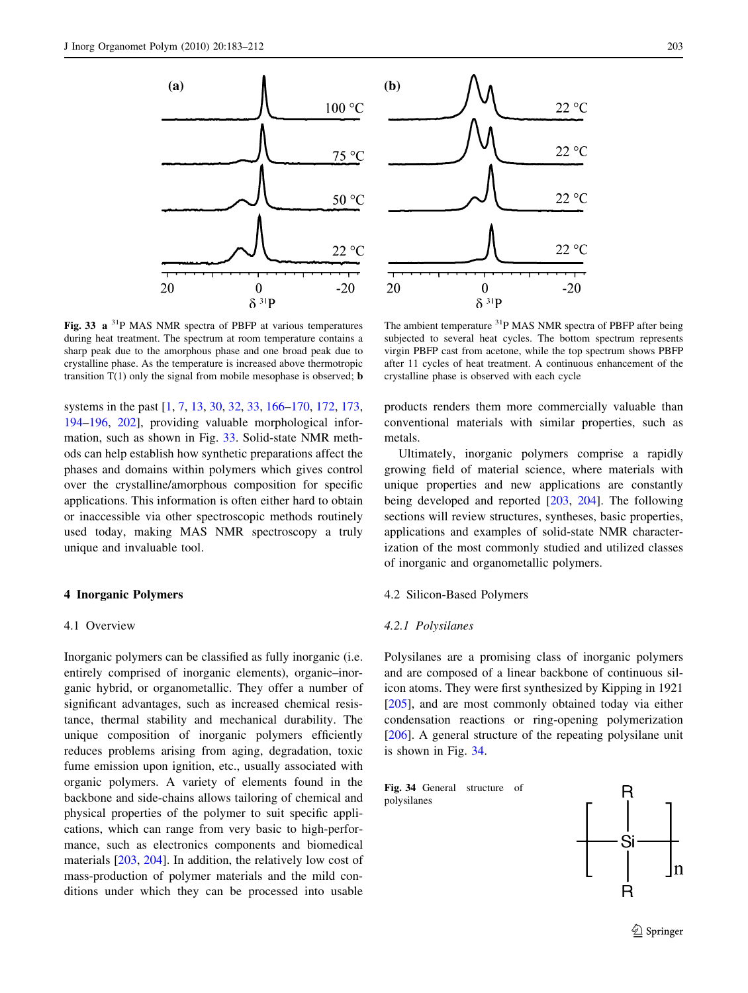

Fig. 33 a 31P MAS NMR spectra of PBFP at various temperatures during heat treatment. The spectrum at room temperature contains a sharp peak due to the amorphous phase and one broad peak due to crystalline phase. As the temperature is increased above thermotropic transition  $T(1)$  only the signal from mobile mesophase is observed; **b** 

systems in the past [\[1](#page-25-0), [7](#page-25-0), [13,](#page-25-0) [30,](#page-25-0) [32,](#page-25-0) [33,](#page-25-0) [166–170,](#page-27-0) [172,](#page-27-0) [173,](#page-27-0) [194–196,](#page-28-0) [202\]](#page-28-0), providing valuable morphological information, such as shown in Fig. 33. Solid-state NMR methods can help establish how synthetic preparations affect the phases and domains within polymers which gives control over the crystalline/amorphous composition for specific applications. This information is often either hard to obtain or inaccessible via other spectroscopic methods routinely used today, making MAS NMR spectroscopy a truly unique and invaluable tool.

#### 4 Inorganic Polymers

#### 4.1 Overview

Inorganic polymers can be classified as fully inorganic (i.e. entirely comprised of inorganic elements), organic–inorganic hybrid, or organometallic. They offer a number of significant advantages, such as increased chemical resistance, thermal stability and mechanical durability. The unique composition of inorganic polymers efficiently reduces problems arising from aging, degradation, toxic fume emission upon ignition, etc., usually associated with organic polymers. A variety of elements found in the backbone and side-chains allows tailoring of chemical and physical properties of the polymer to suit specific applications, which can range from very basic to high-performance, such as electronics components and biomedical materials [\[203](#page-28-0), [204](#page-28-0)]. In addition, the relatively low cost of mass-production of polymer materials and the mild conditions under which they can be processed into usable



The ambient temperature <sup>31</sup>P MAS NMR spectra of PBFP after being subjected to several heat cycles. The bottom spectrum represents virgin PBFP cast from acetone, while the top spectrum shows PBFP after 11 cycles of heat treatment. A continuous enhancement of the crystalline phase is observed with each cycle

products renders them more commercially valuable than conventional materials with similar properties, such as metals.

Ultimately, inorganic polymers comprise a rapidly growing field of material science, where materials with unique properties and new applications are constantly being developed and reported [\[203](#page-28-0), [204](#page-28-0)]. The following sections will review structures, syntheses, basic properties, applications and examples of solid-state NMR characterization of the most commonly studied and utilized classes of inorganic and organometallic polymers.

## 4.2 Silicon-Based Polymers

## 4.2.1 Polysilanes

Polysilanes are a promising class of inorganic polymers and are composed of a linear backbone of continuous silicon atoms. They were first synthesized by Kipping in 1921 [\[205](#page-28-0)], and are most commonly obtained today via either condensation reactions or ring-opening polymerization [\[206](#page-28-0)]. A general structure of the repeating polysilane unit is shown in Fig. 34.

Fig. 34 General structure of polysilanes

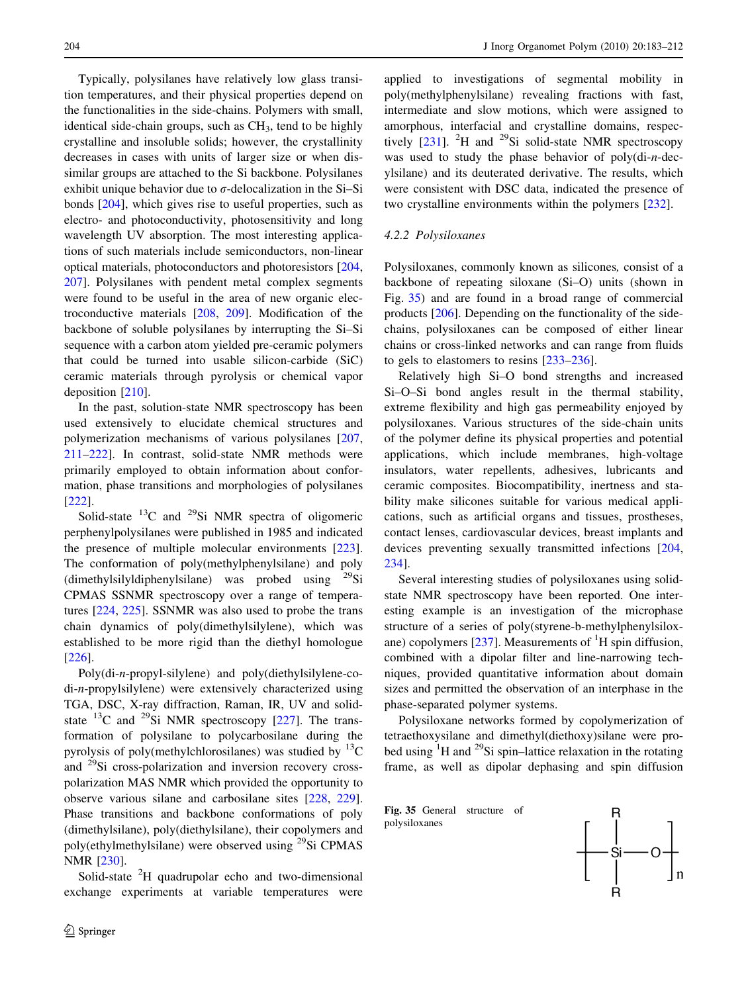Typically, polysilanes have relatively low glass transition temperatures, and their physical properties depend on the functionalities in the side-chains. Polymers with small, identical side-chain groups, such as  $CH<sub>3</sub>$ , tend to be highly crystalline and insoluble solids; however, the crystallinity decreases in cases with units of larger size or when dissimilar groups are attached to the Si backbone. Polysilanes exhibit unique behavior due to  $\sigma$ -delocalization in the Si–Si bonds [\[204](#page-28-0)], which gives rise to useful properties, such as electro- and photoconductivity, photosensitivity and long wavelength UV absorption. The most interesting applications of such materials include semiconductors, non-linear optical materials, photoconductors and photoresistors [[204,](#page-28-0) [207\]](#page-28-0). Polysilanes with pendent metal complex segments were found to be useful in the area of new organic electroconductive materials [\[208](#page-28-0), [209\]](#page-28-0). Modification of the backbone of soluble polysilanes by interrupting the Si–Si sequence with a carbon atom yielded pre-ceramic polymers that could be turned into usable silicon-carbide (SiC) ceramic materials through pyrolysis or chemical vapor deposition [\[210](#page-28-0)].

In the past, solution-state NMR spectroscopy has been used extensively to elucidate chemical structures and polymerization mechanisms of various polysilanes [[207,](#page-28-0) [211–222\]](#page-28-0). In contrast, solid-state NMR methods were primarily employed to obtain information about conformation, phase transitions and morphologies of polysilanes [\[222](#page-28-0)].

Solid-state  $^{13}$ C and  $^{29}$ Si NMR spectra of oligomeric perphenylpolysilanes were published in 1985 and indicated the presence of multiple molecular environments [\[223](#page-28-0)]. The conformation of poly(methylphenylsilane) and poly (dimethylsilyldiphenylsilane) was probed using  $^{29}$ Si CPMAS SSNMR spectroscopy over a range of temperatures [[224,](#page-28-0) [225](#page-28-0)]. SSNMR was also used to probe the trans chain dynamics of poly(dimethylsilylene), which was established to be more rigid than the diethyl homologue [\[226](#page-28-0)].

Poly(di-n-propyl-silylene) and poly(diethylsilylene-codi-n-propylsilylene) were extensively characterized using TGA, DSC, X-ray diffraction, Raman, IR, UV and solidstate  $^{13}$ C and  $^{29}$ Si NMR spectroscopy [\[227](#page-28-0)]. The transformation of polysilane to polycarbosilane during the pyrolysis of poly(methylchlorosilanes) was studied by  $^{13}C$ and 29Si cross-polarization and inversion recovery crosspolarization MAS NMR which provided the opportunity to observe various silane and carbosilane sites [[228,](#page-28-0) [229](#page-28-0)]. Phase transitions and backbone conformations of poly (dimethylsilane), poly(diethylsilane), their copolymers and poly(ethylmethylsilane) were observed using 29Si CPMAS NMR [\[230](#page-28-0)].

Solid-state <sup>2</sup>H quadrupolar echo and two-dimensional exchange experiments at variable temperatures were applied to investigations of segmental mobility in poly(methylphenylsilane) revealing fractions with fast, intermediate and slow motions, which were assigned to amorphous, interfacial and crystalline domains, respectively  $[231]$  $[231]$ . <sup>2</sup>H and <sup>29</sup>Si solid-state NMR spectroscopy was used to study the phase behavior of poly(di-n-decylsilane) and its deuterated derivative. The results, which were consistent with DSC data, indicated the presence of two crystalline environments within the polymers [[232\]](#page-28-0).

## 4.2.2 Polysiloxanes

Polysiloxanes, commonly known as silicones, consist of a backbone of repeating siloxane (Si–O) units (shown in Fig. 35) and are found in a broad range of commercial products [[206\]](#page-28-0). Depending on the functionality of the sidechains, polysiloxanes can be composed of either linear chains or cross-linked networks and can range from fluids to gels to elastomers to resins [\[233–236\]](#page-28-0).

Relatively high Si–O bond strengths and increased Si–O–Si bond angles result in the thermal stability, extreme flexibility and high gas permeability enjoyed by polysiloxanes. Various structures of the side-chain units of the polymer define its physical properties and potential applications, which include membranes, high-voltage insulators, water repellents, adhesives, lubricants and ceramic composites. Biocompatibility, inertness and stability make silicones suitable for various medical applications, such as artificial organs and tissues, prostheses, contact lenses, cardiovascular devices, breast implants and devices preventing sexually transmitted infections [[204,](#page-28-0) [234](#page-28-0)].

Several interesting studies of polysiloxanes using solidstate NMR spectroscopy have been reported. One interesting example is an investigation of the microphase structure of a series of poly(styrene-b-methylphenylsiloxane) copolymers  $[237]$  $[237]$ . Measurements of  ${}^{1}H$  spin diffusion, combined with a dipolar filter and line-narrowing techniques, provided quantitative information about domain sizes and permitted the observation of an interphase in the phase-separated polymer systems.

Polysiloxane networks formed by copolymerization of tetraethoxysilane and dimethyl(diethoxy)silane were probed using  ${}^{1}$ H and  ${}^{29}$ Si spin–lattice relaxation in the rotating frame, as well as dipolar dephasing and spin diffusion



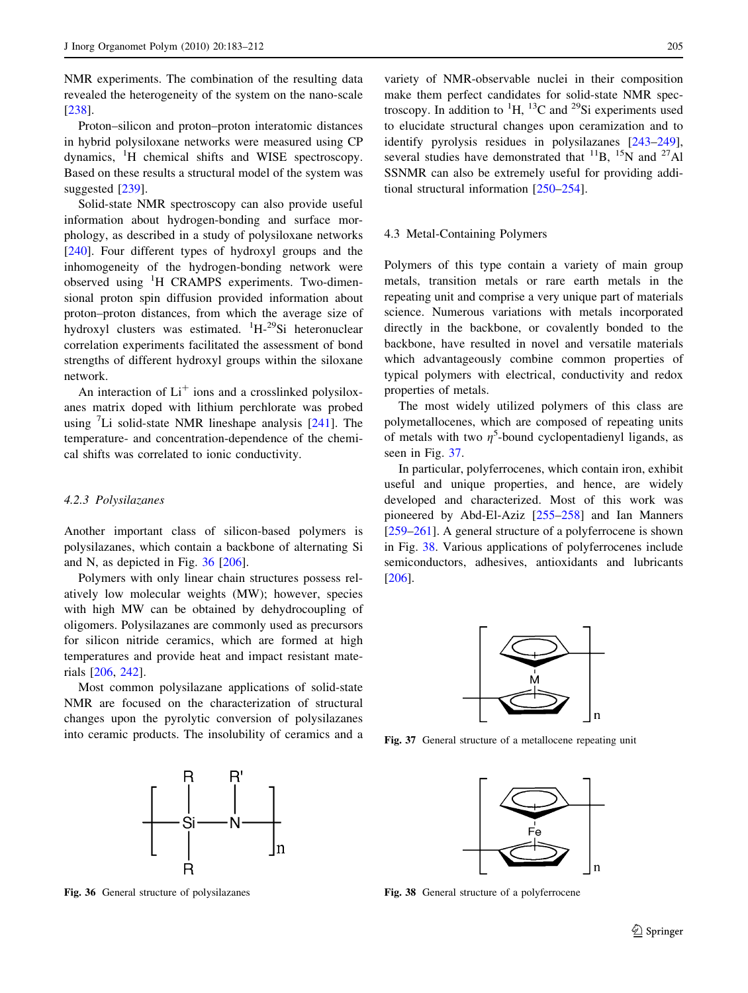NMR experiments. The combination of the resulting data revealed the heterogeneity of the system on the nano-scale [\[238](#page-28-0)].

Proton–silicon and proton–proton interatomic distances in hybrid polysiloxane networks were measured using CP dynamics, <sup>1</sup>H chemical shifts and WISE spectroscopy. Based on these results a structural model of the system was suggested [\[239](#page-28-0)].

Solid-state NMR spectroscopy can also provide useful information about hydrogen-bonding and surface morphology, as described in a study of polysiloxane networks [\[240](#page-28-0)]. Four different types of hydroxyl groups and the inhomogeneity of the hydrogen-bonding network were observed using <sup>1</sup>H CRAMPS experiments. Two-dimensional proton spin diffusion provided information about proton–proton distances, from which the average size of hydroxyl clusters was estimated. <sup>1</sup>H-<sup>29</sup>Si heteronuclear correlation experiments facilitated the assessment of bond strengths of different hydroxyl groups within the siloxane network.

An interaction of  $Li<sup>+</sup>$  ions and a crosslinked polysiloxanes matrix doped with lithium perchlorate was probed using  ${}^{7}$ Li solid-state NMR lineshape analysis [\[241](#page-28-0)]. The temperature- and concentration-dependence of the chemical shifts was correlated to ionic conductivity.

## 4.2.3 Polysilazanes

Another important class of silicon-based polymers is polysilazanes, which contain a backbone of alternating Si and N, as depicted in Fig. 36 [[206\]](#page-28-0).

Polymers with only linear chain structures possess relatively low molecular weights (MW); however, species with high MW can be obtained by dehydrocoupling of oligomers. Polysilazanes are commonly used as precursors for silicon nitride ceramics, which are formed at high temperatures and provide heat and impact resistant materials [[206,](#page-28-0) [242\]](#page-28-0).

Most common polysilazane applications of solid-state NMR are focused on the characterization of structural changes upon the pyrolytic conversion of polysilazanes into ceramic products. The insolubility of ceramics and a



variety of NMR-observable nuclei in their composition make them perfect candidates for solid-state NMR spectroscopy. In addition to  ${}^{1}H$ ,  ${}^{13}C$  and  ${}^{29}Si$  experiments used to elucidate structural changes upon ceramization and to identify pyrolysis residues in polysilazanes [\[243–249](#page-28-0)], several studies have demonstrated that  $^{11}B$ ,  $^{15}N$  and  $^{27}Al$ SSNMR can also be extremely useful for providing additional structural information [\[250–254](#page-28-0)].

#### 4.3 Metal-Containing Polymers

Polymers of this type contain a variety of main group metals, transition metals or rare earth metals in the repeating unit and comprise a very unique part of materials science. Numerous variations with metals incorporated directly in the backbone, or covalently bonded to the backbone, have resulted in novel and versatile materials which advantageously combine common properties of typical polymers with electrical, conductivity and redox properties of metals.

The most widely utilized polymers of this class are polymetallocenes, which are composed of repeating units of metals with two  $\eta^5$ -bound cyclopentadienyl ligands, as seen in Fig. 37.

In particular, polyferrocenes, which contain iron, exhibit useful and unique properties, and hence, are widely developed and characterized. Most of this work was pioneered by Abd-El-Aziz [\[255–258](#page-28-0)] and Ian Manners [\[259–261](#page-28-0)]. A general structure of a polyferrocene is shown in Fig. 38. Various applications of polyferrocenes include semiconductors, adhesives, antioxidants and lubricants [\[206](#page-28-0)].



Fig. 37 General structure of a metallocene repeating unit



Fig. 36 General structure of polysilazanes Fig. 38 General structure of a polyferrocene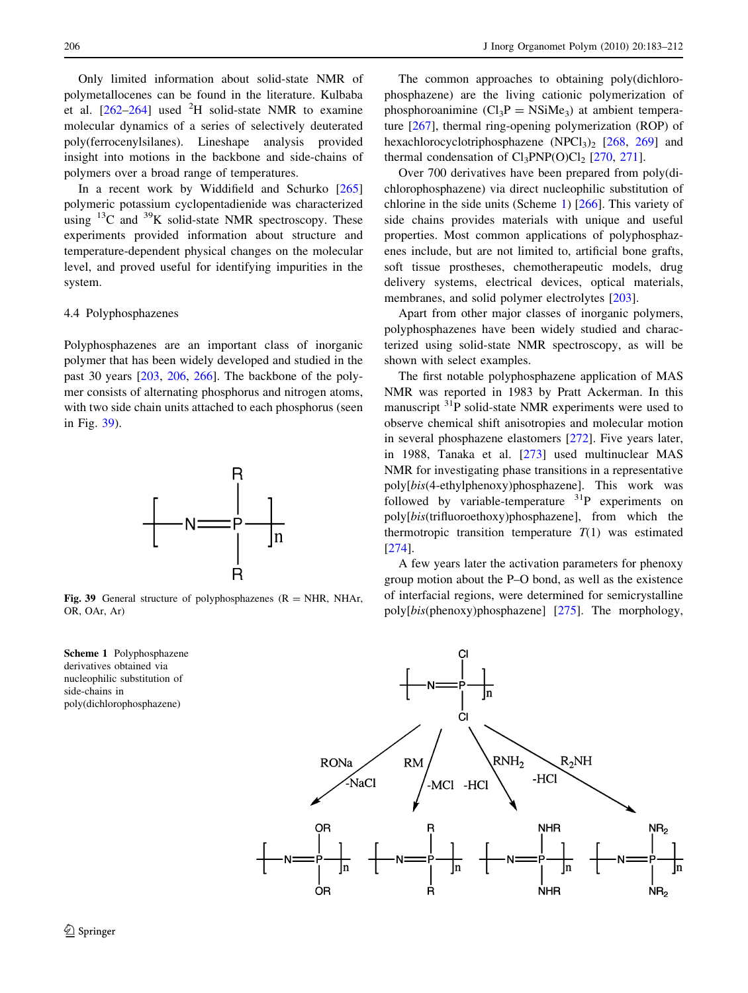Only limited information about solid-state NMR of polymetallocenes can be found in the literature. Kulbaba et al.  $[262-264]$  used <sup>2</sup>H solid-state NMR to examine molecular dynamics of a series of selectively deuterated poly(ferrocenylsilanes). Lineshape analysis provided insight into motions in the backbone and side-chains of polymers over a broad range of temperatures.

In a recent work by Widdifield and Schurko [[265\]](#page-29-0) polymeric potassium cyclopentadienide was characterized using  $^{13}$ C and  $^{39}$ K solid-state NMR spectroscopy. These experiments provided information about structure and temperature-dependent physical changes on the molecular level, and proved useful for identifying impurities in the system.

### 4.4 Polyphosphazenes

Polyphosphazenes are an important class of inorganic polymer that has been widely developed and studied in the past 30 years [\[203](#page-28-0), [206](#page-28-0), [266](#page-29-0)]. The backbone of the polymer consists of alternating phosphorus and nitrogen atoms, with two side chain units attached to each phosphorus (seen in Fig. 39).



Fig. 39 General structure of polyphosphazenes  $(R = NHR, NHAr,$ OR, OAr, Ar)



The common approaches to obtaining poly(dichlorophosphazene) are the living cationic polymerization of phosphoroanimine  $(Cl_3P = NSiMe_3)$  at ambient temperature [[267\]](#page-29-0), thermal ring-opening polymerization (ROP) of hexachlorocyclotriphosphazene (NPCl<sub>3</sub>)<sub>2</sub> [\[268](#page-29-0), [269](#page-29-0)] and thermal condensation of  $Cl_3PNP(O)Cl_2$  [[270,](#page-29-0) [271\]](#page-29-0).

Over 700 derivatives have been prepared from poly(dichlorophosphazene) via direct nucleophilic substitution of chlorine in the side units (Scheme 1) [\[266](#page-29-0)]. This variety of side chains provides materials with unique and useful properties. Most common applications of polyphosphazenes include, but are not limited to, artificial bone grafts, soft tissue prostheses, chemotherapeutic models, drug delivery systems, electrical devices, optical materials, membranes, and solid polymer electrolytes [\[203](#page-28-0)].

Apart from other major classes of inorganic polymers, polyphosphazenes have been widely studied and characterized using solid-state NMR spectroscopy, as will be shown with select examples.

The first notable polyphosphazene application of MAS NMR was reported in 1983 by Pratt Ackerman. In this manuscript <sup>31</sup>P solid-state NMR experiments were used to observe chemical shift anisotropies and molecular motion in several phosphazene elastomers [[272\]](#page-29-0). Five years later, in 1988, Tanaka et al. [[273\]](#page-29-0) used multinuclear MAS NMR for investigating phase transitions in a representative poly[bis(4-ethylphenoxy)phosphazene]. This work was followed by variable-temperature  $31P$  experiments on poly[bis(trifluoroethoxy)phosphazene], from which the thermotropic transition temperature  $T(1)$  was estimated [\[274](#page-29-0)].

A few years later the activation parameters for phenoxy group motion about the P–O bond, as well as the existence of interfacial regions, were determined for semicrystalline poly[bis(phenoxy)phosphazene] [\[275](#page-29-0)]. The morphology,

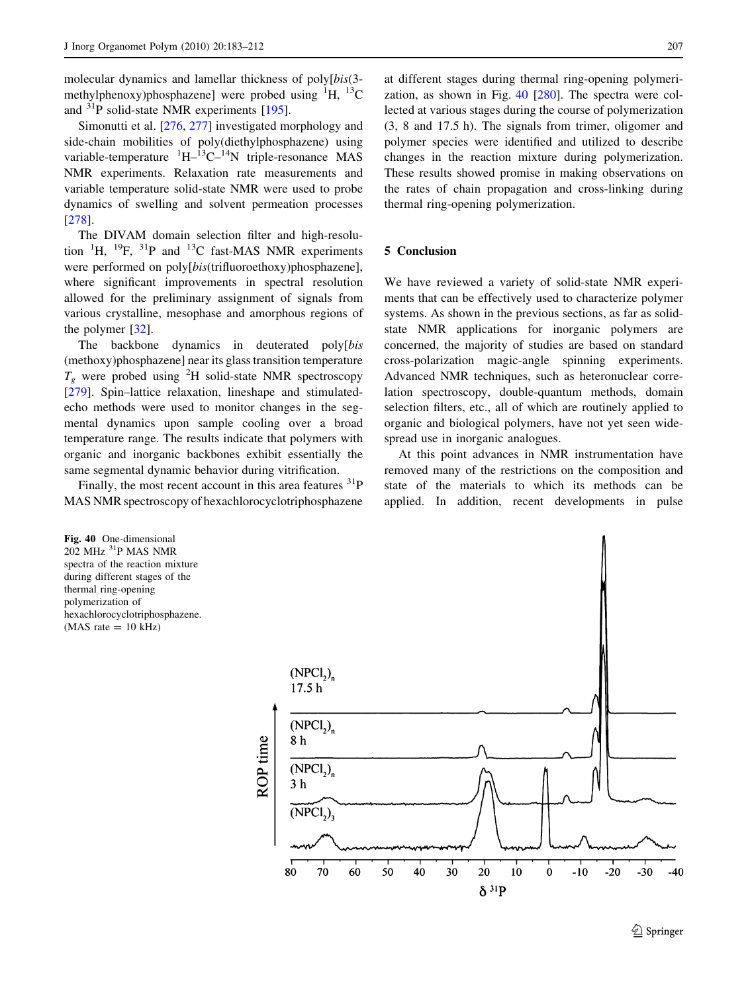molecular dynamics and lamellar thickness of poly[bis(3 methylphenoxy)phosphazene] were probed using  ${}^{1}H$ ,  ${}^{13}C$ and  ${}^{31}P$  solid-state NMR experiments [\[195](#page-28-0)].

Simonutti et al. [[276,](#page-29-0) [277\]](#page-29-0) investigated morphology and side-chain mobilities of poly(diethylphosphazene) using variable-temperature  ${}^{1}H-{}^{13}C-{}^{14}N$  triple-resonance MAS NMR experiments. Relaxation rate measurements and variable temperature solid-state NMR were used to probe dynamics of swelling and solvent permeation processes [\[278](#page-29-0)].

The DIVAM domain selection filter and high-resolution  ${}^{1}H$ ,  ${}^{19}F$ ,  ${}^{31}P$  and  ${}^{13}C$  fast-MAS NMR experiments were performed on poly[bis(trifluoroethoxy)phosphazene], where significant improvements in spectral resolution allowed for the preliminary assignment of signals from various crystalline, mesophase and amorphous regions of the polymer [[32\]](#page-25-0).

The backbone dynamics in deuterated poly[bis (methoxy)phosphazene] near its glass transition temperature  $T_g$  were probed using <sup>2</sup>H solid-state NMR spectroscopy [\[279](#page-29-0)]. Spin–lattice relaxation, lineshape and stimulatedecho methods were used to monitor changes in the segmental dynamics upon sample cooling over a broad temperature range. The results indicate that polymers with organic and inorganic backbones exhibit essentially the same segmental dynamic behavior during vitrification.

Finally, the most recent account in this area features  ${}^{31}P$ MAS NMR spectroscopy of hexachlorocyclotriphosphazene

Fig. 40 One-dimensional 202 MHz 31P MAS NMR spectra of the reaction mixture during different stages of the thermal ring-opening polymerization of hexachlorocyclotriphosphazene.  $(MAS rate = 10 kHz)$ 

at different stages during thermal ring-opening polymerization, as shown in Fig. 40 [\[280](#page-29-0)]. The spectra were collected at various stages during the course of polymerization (3, 8 and 17.5 h). The signals from trimer, oligomer and polymer species were identified and utilized to describe changes in the reaction mixture during polymerization. These results showed promise in making observations on the rates of chain propagation and cross-linking during thermal ring-opening polymerization.

## 5 Conclusion

We have reviewed a variety of solid-state NMR experiments that can be effectively used to characterize polymer systems. As shown in the previous sections, as far as solidstate NMR applications for inorganic polymers are concerned, the majority of studies are based on standard cross-polarization magic-angle spinning experiments. Advanced NMR techniques, such as heteronuclear correlation spectroscopy, double-quantum methods, domain selection filters, etc., all of which are routinely applied to organic and biological polymers, have not yet seen widespread use in inorganic analogues.

At this point advances in NMR instrumentation have removed many of the restrictions on the composition and state of the materials to which its methods can be applied. In addition, recent developments in pulse

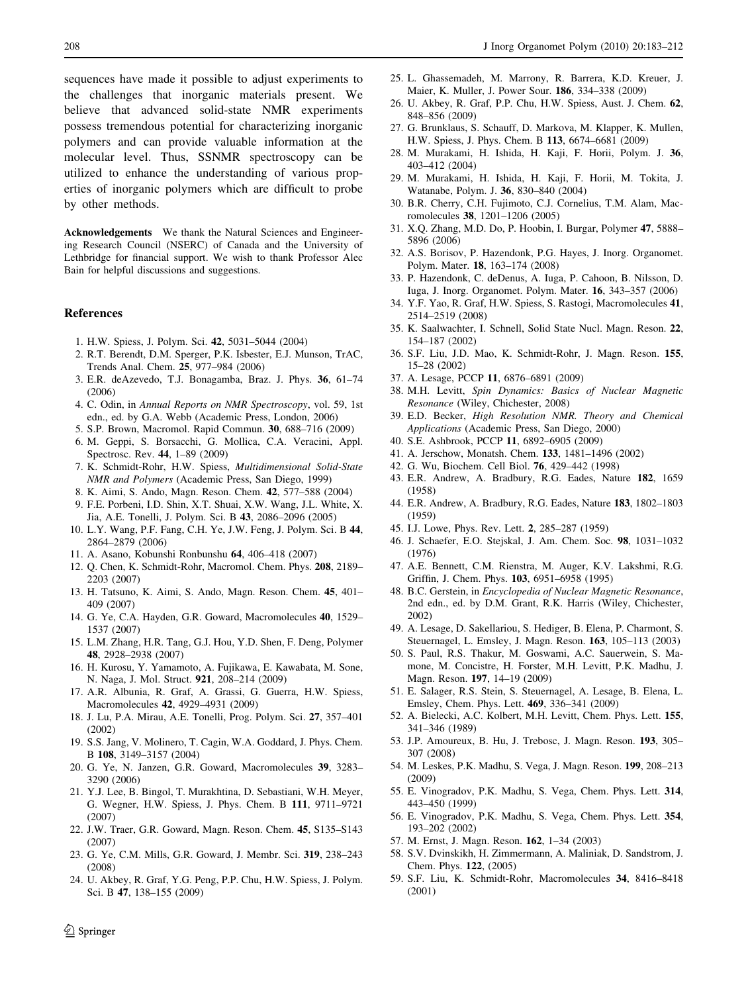<span id="page-25-0"></span>sequences have made it possible to adjust experiments to the challenges that inorganic materials present. We believe that advanced solid-state NMR experiments possess tremendous potential for characterizing inorganic polymers and can provide valuable information at the molecular level. Thus, SSNMR spectroscopy can be utilized to enhance the understanding of various properties of inorganic polymers which are difficult to probe by other methods.

Acknowledgements We thank the Natural Sciences and Engineering Research Council (NSERC) of Canada and the University of Lethbridge for financial support. We wish to thank Professor Alec Bain for helpful discussions and suggestions.

#### References

- 1. H.W. Spiess, J. Polym. Sci. 42, 5031–5044 (2004)
- 2. R.T. Berendt, D.M. Sperger, P.K. Isbester, E.J. Munson, TrAC, Trends Anal. Chem. 25, 977–984 (2006)
- 3. E.R. deAzevedo, T.J. Bonagamba, Braz. J. Phys. 36, 61–74 (2006)
- 4. C. Odin, in Annual Reports on NMR Spectroscopy, vol. 59, 1st edn., ed. by G.A. Webb (Academic Press, London, 2006)
- 5. S.P. Brown, Macromol. Rapid Commun. 30, 688–716 (2009)
- 6. M. Geppi, S. Borsacchi, G. Mollica, C.A. Veracini, Appl. Spectrosc. Rev. 44, 1–89 (2009)
- 7. K. Schmidt-Rohr, H.W. Spiess, Multidimensional Solid-State NMR and Polymers (Academic Press, San Diego, 1999)
- 8. K. Aimi, S. Ando, Magn. Reson. Chem. 42, 577–588 (2004) 9. F.E. Porbeni, I.D. Shin, X.T. Shuai, X.W. Wang, J.L. White, X. Jia, A.E. Tonelli, J. Polym. Sci. B 43, 2086–2096 (2005)
- 10. L.Y. Wang, P.F. Fang, C.H. Ye, J.W. Feng, J. Polym. Sci. B 44, 2864–2879 (2006)
- 11. A. Asano, Kobunshi Ronbunshu 64, 406–418 (2007)
- 12. Q. Chen, K. Schmidt-Rohr, Macromol. Chem. Phys. 208, 2189– 2203 (2007)
- 13. H. Tatsuno, K. Aimi, S. Ando, Magn. Reson. Chem. 45, 401– 409 (2007)
- 14. G. Ye, C.A. Hayden, G.R. Goward, Macromolecules 40, 1529– 1537 (2007)
- 15. L.M. Zhang, H.R. Tang, G.J. Hou, Y.D. Shen, F. Deng, Polymer 48, 2928–2938 (2007)
- 16. H. Kurosu, Y. Yamamoto, A. Fujikawa, E. Kawabata, M. Sone, N. Naga, J. Mol. Struct. 921, 208–214 (2009)
- 17. A.R. Albunia, R. Graf, A. Grassi, G. Guerra, H.W. Spiess, Macromolecules 42, 4929–4931 (2009)
- 18. J. Lu, P.A. Mirau, A.E. Tonelli, Prog. Polym. Sci. 27, 357–401 (2002)
- 19. S.S. Jang, V. Molinero, T. Cagin, W.A. Goddard, J. Phys. Chem. B 108, 3149–3157 (2004)
- 20. G. Ye, N. Janzen, G.R. Goward, Macromolecules 39, 3283– 3290 (2006)
- 21. Y.J. Lee, B. Bingol, T. Murakhtina, D. Sebastiani, W.H. Meyer, G. Wegner, H.W. Spiess, J. Phys. Chem. B 111, 9711–9721 (2007)
- 22. J.W. Traer, G.R. Goward, Magn. Reson. Chem. 45, S135–S143 (2007)
- 23. G. Ye, C.M. Mills, G.R. Goward, J. Membr. Sci. 319, 238–243 (2008)
- 24. U. Akbey, R. Graf, Y.G. Peng, P.P. Chu, H.W. Spiess, J. Polym. Sci. B 47, 138–155 (2009)
- 25. L. Ghassemadeh, M. Marrony, R. Barrera, K.D. Kreuer, J. Maier, K. Muller, J. Power Sour. 186, 334–338 (2009)
- 26. U. Akbey, R. Graf, P.P. Chu, H.W. Spiess, Aust. J. Chem. 62, 848–856 (2009)
- 27. G. Brunklaus, S. Schauff, D. Markova, M. Klapper, K. Mullen, H.W. Spiess, J. Phys. Chem. B 113, 6674–6681 (2009)
- 28. M. Murakami, H. Ishida, H. Kaji, F. Horii, Polym. J. 36, 403–412 (2004)
- 29. M. Murakami, H. Ishida, H. Kaji, F. Horii, M. Tokita, J. Watanabe, Polym. J. 36, 830–840 (2004)
- 30. B.R. Cherry, C.H. Fujimoto, C.J. Cornelius, T.M. Alam, Macromolecules 38, 1201–1206 (2005)
- 31. X.Q. Zhang, M.D. Do, P. Hoobin, I. Burgar, Polymer 47, 5888– 5896 (2006)
- 32. A.S. Borisov, P. Hazendonk, P.G. Hayes, J. Inorg. Organomet. Polym. Mater. 18, 163–174 (2008)
- 33. P. Hazendonk, C. deDenus, A. Iuga, P. Cahoon, B. Nilsson, D. Iuga, J. Inorg. Organomet. Polym. Mater. 16, 343–357 (2006)
- 34. Y.F. Yao, R. Graf, H.W. Spiess, S. Rastogi, Macromolecules 41, 2514–2519 (2008)
- 35. K. Saalwachter, I. Schnell, Solid State Nucl. Magn. Reson. 22, 154–187 (2002)
- 36. S.F. Liu, J.D. Mao, K. Schmidt-Rohr, J. Magn. Reson. 155, 15–28 (2002)
- 37. A. Lesage, PCCP 11, 6876–6891 (2009)
- 38. M.H. Levitt, Spin Dynamics: Basics of Nuclear Magnetic Resonance (Wiley, Chichester, 2008)
- 39. E.D. Becker, High Resolution NMR. Theory and Chemical Applications (Academic Press, San Diego, 2000)
- 40. S.E. Ashbrook, PCCP 11, 6892–6905 (2009)
- 41. A. Jerschow, Monatsh. Chem. 133, 1481–1496 (2002)
- 42. G. Wu, Biochem. Cell Biol. 76, 429–442 (1998)
- 43. E.R. Andrew, A. Bradbury, R.G. Eades, Nature 182, 1659 (1958)
- 44. E.R. Andrew, A. Bradbury, R.G. Eades, Nature 183, 1802–1803 (1959)
- 45. I.J. Lowe, Phys. Rev. Lett. 2, 285–287 (1959)
- 46. J. Schaefer, E.O. Stejskal, J. Am. Chem. Soc. 98, 1031–1032 (1976)
- 47. A.E. Bennett, C.M. Rienstra, M. Auger, K.V. Lakshmi, R.G. Griffin, J. Chem. Phys. 103, 6951–6958 (1995)
- 48. B.C. Gerstein, in Encyclopedia of Nuclear Magnetic Resonance, 2nd edn., ed. by D.M. Grant, R.K. Harris (Wiley, Chichester, 2002)
- 49. A. Lesage, D. Sakellariou, S. Hediger, B. Elena, P. Charmont, S. Steuernagel, L. Emsley, J. Magn. Reson. 163, 105–113 (2003)
- 50. S. Paul, R.S. Thakur, M. Goswami, A.C. Sauerwein, S. Mamone, M. Concistre, H. Forster, M.H. Levitt, P.K. Madhu, J. Magn. Reson. 197, 14–19 (2009)
- 51. E. Salager, R.S. Stein, S. Steuernagel, A. Lesage, B. Elena, L. Emsley, Chem. Phys. Lett. 469, 336–341 (2009)
- 52. A. Bielecki, A.C. Kolbert, M.H. Levitt, Chem. Phys. Lett. 155, 341–346 (1989)
- 53. J.P. Amoureux, B. Hu, J. Trebosc, J. Magn. Reson. 193, 305– 307 (2008)
- 54. M. Leskes, P.K. Madhu, S. Vega, J. Magn. Reson. 199, 208–213 (2009)
- 55. E. Vinogradov, P.K. Madhu, S. Vega, Chem. Phys. Lett. 314, 443–450 (1999)
- 56. E. Vinogradov, P.K. Madhu, S. Vega, Chem. Phys. Lett. 354, 193–202 (2002)
- 57. M. Ernst, J. Magn. Reson. 162, 1–34 (2003)
- 58. S.V. Dvinskikh, H. Zimmermann, A. Maliniak, D. Sandstrom, J. Chem. Phys. 122, (2005)
- 59. S.F. Liu, K. Schmidt-Rohr, Macromolecules 34, 8416–8418 (2001)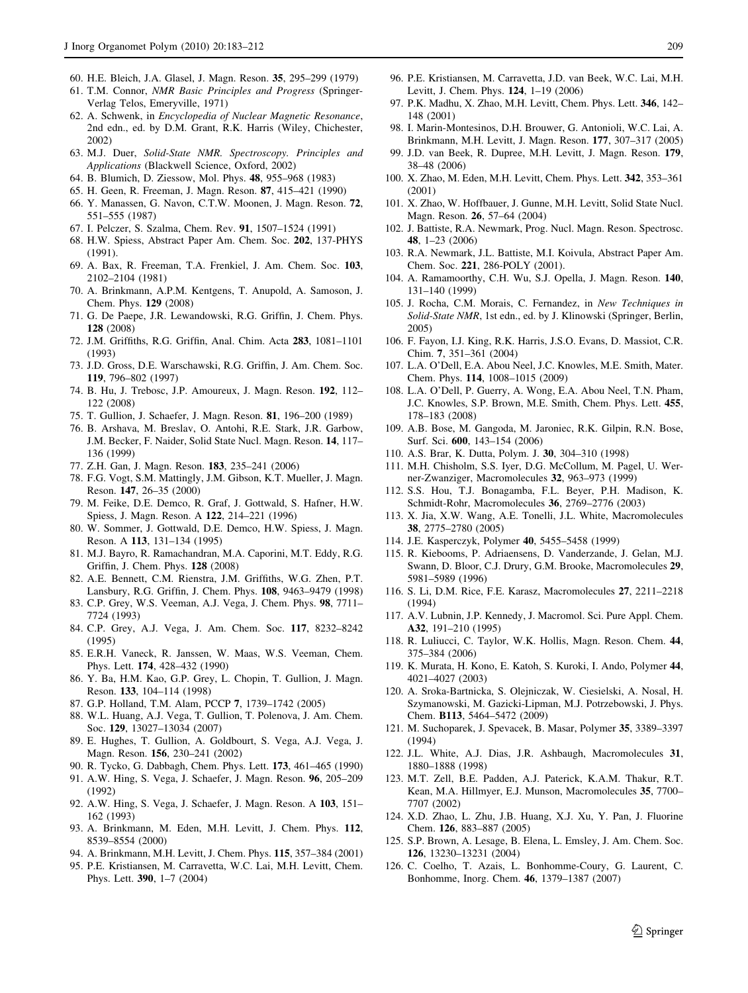- <span id="page-26-0"></span>60. H.E. Bleich, J.A. Glasel, J. Magn. Reson. 35, 295–299 (1979)
- 61. T.M. Connor, NMR Basic Principles and Progress (Springer-Verlag Telos, Emeryville, 1971)
- 62. A. Schwenk, in Encyclopedia of Nuclear Magnetic Resonance, 2nd edn., ed. by D.M. Grant, R.K. Harris (Wiley, Chichester, 2002)
- 63. M.J. Duer, Solid-State NMR. Spectroscopy. Principles and Applications (Blackwell Science, Oxford, 2002)
- 64. B. Blumich, D. Ziessow, Mol. Phys. 48, 955–968 (1983)
- 65. H. Geen, R. Freeman, J. Magn. Reson. 87, 415–421 (1990)
- 66. Y. Manassen, G. Navon, C.T.W. Moonen, J. Magn. Reson. 72, 551–555 (1987)
- 67. I. Pelczer, S. Szalma, Chem. Rev. 91, 1507–1524 (1991)
- 68. H.W. Spiess, Abstract Paper Am. Chem. Soc. 202, 137-PHYS (1991).
- 69. A. Bax, R. Freeman, T.A. Frenkiel, J. Am. Chem. Soc. 103, 2102–2104 (1981)
- 70. A. Brinkmann, A.P.M. Kentgens, T. Anupold, A. Samoson, J. Chem. Phys. 129 (2008)
- 71. G. De Paepe, J.R. Lewandowski, R.G. Griffin, J. Chem. Phys. 128 (2008)
- 72. J.M. Griffiths, R.G. Griffin, Anal. Chim. Acta 283, 1081–1101 (1993)
- 73. J.D. Gross, D.E. Warschawski, R.G. Griffin, J. Am. Chem. Soc. 119, 796–802 (1997)
- 74. B. Hu, J. Trebosc, J.P. Amoureux, J. Magn. Reson. 192, 112– 122 (2008)
- 75. T. Gullion, J. Schaefer, J. Magn. Reson. 81, 196–200 (1989)
- 76. B. Arshava, M. Breslav, O. Antohi, R.E. Stark, J.R. Garbow, J.M. Becker, F. Naider, Solid State Nucl. Magn. Reson. 14, 117– 136 (1999)
- 77. Z.H. Gan, J. Magn. Reson. 183, 235–241 (2006)
- 78. F.G. Vogt, S.M. Mattingly, J.M. Gibson, K.T. Mueller, J. Magn. Reson. 147, 26–35 (2000)
- 79. M. Feike, D.E. Demco, R. Graf, J. Gottwald, S. Hafner, H.W. Spiess, J. Magn. Reson. A 122, 214–221 (1996)
- 80. W. Sommer, J. Gottwald, D.E. Demco, H.W. Spiess, J. Magn. Reson. A 113, 131–134 (1995)
- 81. M.J. Bayro, R. Ramachandran, M.A. Caporini, M.T. Eddy, R.G. Griffin, J. Chem. Phys. 128 (2008)
- 82. A.E. Bennett, C.M. Rienstra, J.M. Griffiths, W.G. Zhen, P.T. Lansbury, R.G. Griffin, J. Chem. Phys. 108, 9463–9479 (1998)
- 83. C.P. Grey, W.S. Veeman, A.J. Vega, J. Chem. Phys. 98, 7711– 7724 (1993)
- 84. C.P. Grey, A.J. Vega, J. Am. Chem. Soc. 117, 8232–8242 (1995)
- 85. E.R.H. Vaneck, R. Janssen, W. Maas, W.S. Veeman, Chem. Phys. Lett. 174, 428–432 (1990)
- 86. Y. Ba, H.M. Kao, G.P. Grey, L. Chopin, T. Gullion, J. Magn. Reson. 133, 104–114 (1998)
- 87. G.P. Holland, T.M. Alam, PCCP 7, 1739–1742 (2005)
- 88. W.L. Huang, A.J. Vega, T. Gullion, T. Polenova, J. Am. Chem. Soc. 129, 13027–13034 (2007)
- 89. E. Hughes, T. Gullion, A. Goldbourt, S. Vega, A.J. Vega, J. Magn. Reson. 156, 230–241 (2002)
- 90. R. Tycko, G. Dabbagh, Chem. Phys. Lett. 173, 461–465 (1990)
- 91. A.W. Hing, S. Vega, J. Schaefer, J. Magn. Reson. 96, 205–209 (1992)
- 92. A.W. Hing, S. Vega, J. Schaefer, J. Magn. Reson. A 103, 151– 162 (1993)
- 93. A. Brinkmann, M. Eden, M.H. Levitt, J. Chem. Phys. 112, 8539–8554 (2000)
- 94. A. Brinkmann, M.H. Levitt, J. Chem. Phys. 115, 357–384 (2001)
- 95. P.E. Kristiansen, M. Carravetta, W.C. Lai, M.H. Levitt, Chem. Phys. Lett. 390, 1–7 (2004)
- 96. P.E. Kristiansen, M. Carravetta, J.D. van Beek, W.C. Lai, M.H. Levitt, J. Chem. Phys. 124, 1–19 (2006)
- 97. P.K. Madhu, X. Zhao, M.H. Levitt, Chem. Phys. Lett. 346, 142– 148 (2001)
- 98. I. Marin-Montesinos, D.H. Brouwer, G. Antonioli, W.C. Lai, A. Brinkmann, M.H. Levitt, J. Magn. Reson. 177, 307–317 (2005)
- 99. J.D. van Beek, R. Dupree, M.H. Levitt, J. Magn. Reson. 179, 38–48 (2006)
- 100. X. Zhao, M. Eden, M.H. Levitt, Chem. Phys. Lett. 342, 353–361 (2001)
- 101. X. Zhao, W. Hoffbauer, J. Gunne, M.H. Levitt, Solid State Nucl. Magn. Reson. 26, 57–64 (2004)
- 102. J. Battiste, R.A. Newmark, Prog. Nucl. Magn. Reson. Spectrosc. 48, 1–23 (2006)
- 103. R.A. Newmark, J.L. Battiste, M.I. Koivula, Abstract Paper Am. Chem. Soc. 221, 286-POLY (2001).
- 104. A. Ramamoorthy, C.H. Wu, S.J. Opella, J. Magn. Reson. 140, 131–140 (1999)
- 105. J. Rocha, C.M. Morais, C. Fernandez, in New Techniques in Solid-State NMR, 1st edn., ed. by J. Klinowski (Springer, Berlin, 2005)
- 106. F. Fayon, I.J. King, R.K. Harris, J.S.O. Evans, D. Massiot, C.R. Chim. 7, 351–361 (2004)
- 107. L.A. O'Dell, E.A. Abou Neel, J.C. Knowles, M.E. Smith, Mater. Chem. Phys. 114, 1008–1015 (2009)
- 108. L.A. O'Dell, P. Guerry, A. Wong, E.A. Abou Neel, T.N. Pham, J.C. Knowles, S.P. Brown, M.E. Smith, Chem. Phys. Lett. 455, 178–183 (2008)
- 109. A.B. Bose, M. Gangoda, M. Jaroniec, R.K. Gilpin, R.N. Bose, Surf. Sci. 600, 143–154 (2006)
- 110. A.S. Brar, K. Dutta, Polym. J. 30, 304–310 (1998)
- 111. M.H. Chisholm, S.S. Iyer, D.G. McCollum, M. Pagel, U. Werner-Zwanziger, Macromolecules 32, 963–973 (1999)
- 112. S.S. Hou, T.J. Bonagamba, F.L. Beyer, P.H. Madison, K. Schmidt-Rohr, Macromolecules 36, 2769–2776 (2003)
- 113. X. Jia, X.W. Wang, A.E. Tonelli, J.L. White, Macromolecules 38, 2775–2780 (2005)
- 114. J.E. Kasperczyk, Polymer 40, 5455–5458 (1999)
- 115. R. Kiebooms, P. Adriaensens, D. Vanderzande, J. Gelan, M.J. Swann, D. Bloor, C.J. Drury, G.M. Brooke, Macromolecules 29, 5981–5989 (1996)
- 116. S. Li, D.M. Rice, F.E. Karasz, Macromolecules 27, 2211–2218 (1994)
- 117. A.V. Lubnin, J.P. Kennedy, J. Macromol. Sci. Pure Appl. Chem. A32, 191–210 (1995)
- 118. R. Luliucci, C. Taylor, W.K. Hollis, Magn. Reson. Chem. 44, 375–384 (2006)
- 119. K. Murata, H. Kono, E. Katoh, S. Kuroki, I. Ando, Polymer 44, 4021–4027 (2003)
- 120. A. Sroka-Bartnicka, S. Olejniczak, W. Ciesielski, A. Nosal, H. Szymanowski, M. Gazicki-Lipman, M.J. Potrzebowski, J. Phys. Chem. B113, 5464–5472 (2009)
- 121. M. Suchoparek, J. Spevacek, B. Masar, Polymer 35, 3389–3397 (1994)
- 122. J.L. White, A.J. Dias, J.R. Ashbaugh, Macromolecules 31, 1880–1888 (1998)
- 123. M.T. Zell, B.E. Padden, A.J. Paterick, K.A.M. Thakur, R.T. Kean, M.A. Hillmyer, E.J. Munson, Macromolecules 35, 7700– 7707 (2002)
- 124. X.D. Zhao, L. Zhu, J.B. Huang, X.J. Xu, Y. Pan, J. Fluorine Chem. 126, 883–887 (2005)
- 125. S.P. Brown, A. Lesage, B. Elena, L. Emsley, J. Am. Chem. Soc. 126, 13230–13231 (2004)
- 126. C. Coelho, T. Azais, L. Bonhomme-Coury, G. Laurent, C. Bonhomme, Inorg. Chem. 46, 1379–1387 (2007)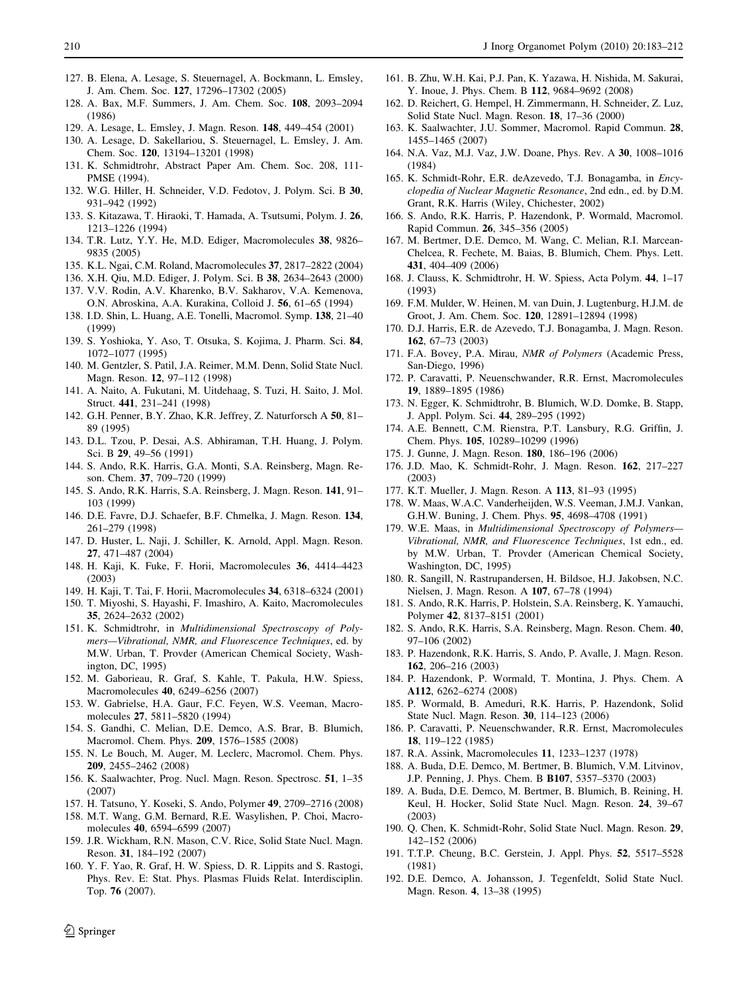- <span id="page-27-0"></span>127. B. Elena, A. Lesage, S. Steuernagel, A. Bockmann, L. Emsley, J. Am. Chem. Soc. 127, 17296–17302 (2005)
- 128. A. Bax, M.F. Summers, J. Am. Chem. Soc. 108, 2093–2094 (1986)
- 129. A. Lesage, L. Emsley, J. Magn. Reson. 148, 449–454 (2001)
- 130. A. Lesage, D. Sakellariou, S. Steuernagel, L. Emsley, J. Am. Chem. Soc. 120, 13194–13201 (1998)
- 131. K. Schmidtrohr, Abstract Paper Am. Chem. Soc. 208, 111- PMSE (1994).
- 132. W.G. Hiller, H. Schneider, V.D. Fedotov, J. Polym. Sci. B 30, 931–942 (1992)
- 133. S. Kitazawa, T. Hiraoki, T. Hamada, A. Tsutsumi, Polym. J. 26, 1213–1226 (1994)
- 134. T.R. Lutz, Y.Y. He, M.D. Ediger, Macromolecules 38, 9826– 9835 (2005)
- 135. K.L. Ngai, C.M. Roland, Macromolecules 37, 2817–2822 (2004)
- 136. X.H. Qiu, M.D. Ediger, J. Polym. Sci. B 38, 2634–2643 (2000)
- 137. V.V. Rodin, A.V. Kharenko, B.V. Sakharov, V.A. Kemenova, O.N. Abroskina, A.A. Kurakina, Colloid J. 56, 61–65 (1994)
- 138. I.D. Shin, L. Huang, A.E. Tonelli, Macromol. Symp. 138, 21–40 (1999)
- 139. S. Yoshioka, Y. Aso, T. Otsuka, S. Kojima, J. Pharm. Sci. 84, 1072–1077 (1995)
- 140. M. Gentzler, S. Patil, J.A. Reimer, M.M. Denn, Solid State Nucl. Magn. Reson. 12, 97–112 (1998)
- 141. A. Naito, A. Fukutani, M. Uitdehaag, S. Tuzi, H. Saito, J. Mol. Struct. 441, 231–241 (1998)
- 142. G.H. Penner, B.Y. Zhao, K.R. Jeffrey, Z. Naturforsch A 50, 81– 89 (1995)
- 143. D.L. Tzou, P. Desai, A.S. Abhiraman, T.H. Huang, J. Polym. Sci. B 29, 49–56 (1991)
- 144. S. Ando, R.K. Harris, G.A. Monti, S.A. Reinsberg, Magn. Reson. Chem. 37, 709–720 (1999)
- 145. S. Ando, R.K. Harris, S.A. Reinsberg, J. Magn. Reson. 141, 91– 103 (1999)
- 146. D.E. Favre, D.J. Schaefer, B.F. Chmelka, J. Magn. Reson. 134, 261–279 (1998)
- 147. D. Huster, L. Naji, J. Schiller, K. Arnold, Appl. Magn. Reson. 27, 471–487 (2004)
- 148. H. Kaji, K. Fuke, F. Horii, Macromolecules 36, 4414–4423 (2003)
- 149. H. Kaji, T. Tai, F. Horii, Macromolecules 34, 6318–6324 (2001)
- 150. T. Miyoshi, S. Hayashi, F. Imashiro, A. Kaito, Macromolecules 35, 2624–2632 (2002)
- 151. K. Schmidtrohr, in Multidimensional Spectroscopy of Polymers—Vibrational, NMR, and Fluorescence Techniques, ed. by M.W. Urban, T. Provder (American Chemical Society, Washington, DC, 1995)
- 152. M. Gaborieau, R. Graf, S. Kahle, T. Pakula, H.W. Spiess, Macromolecules 40, 6249–6256 (2007)
- 153. W. Gabrielse, H.A. Gaur, F.C. Feyen, W.S. Veeman, Macromolecules 27, 5811–5820 (1994)
- 154. S. Gandhi, C. Melian, D.E. Demco, A.S. Brar, B. Blumich, Macromol. Chem. Phys. 209, 1576–1585 (2008)
- 155. N. Le Bouch, M. Auger, M. Leclerc, Macromol. Chem. Phys. 209, 2455–2462 (2008)
- 156. K. Saalwachter, Prog. Nucl. Magn. Reson. Spectrosc. 51, 1–35 (2007)
- 157. H. Tatsuno, Y. Koseki, S. Ando, Polymer 49, 2709–2716 (2008)
- 158. M.T. Wang, G.M. Bernard, R.E. Wasylishen, P. Choi, Macromolecules 40, 6594–6599 (2007)
- 159. J.R. Wickham, R.N. Mason, C.V. Rice, Solid State Nucl. Magn. Reson. 31, 184–192 (2007)
- 160. Y. F. Yao, R. Graf, H. W. Spiess, D. R. Lippits and S. Rastogi, Phys. Rev. E: Stat. Phys. Plasmas Fluids Relat. Interdisciplin. Top. 76 (2007).
- 161. B. Zhu, W.H. Kai, P.J. Pan, K. Yazawa, H. Nishida, M. Sakurai, Y. Inoue, J. Phys. Chem. B 112, 9684–9692 (2008)
- 162. D. Reichert, G. Hempel, H. Zimmermann, H. Schneider, Z. Luz, Solid State Nucl. Magn. Reson. 18, 17–36 (2000)
- 163. K. Saalwachter, J.U. Sommer, Macromol. Rapid Commun. 28, 1455–1465 (2007)
- 164. N.A. Vaz, M.J. Vaz, J.W. Doane, Phys. Rev. A 30, 1008–1016 (1984)
- 165. K. Schmidt-Rohr, E.R. deAzevedo, T.J. Bonagamba, in Encyclopedia of Nuclear Magnetic Resonance, 2nd edn., ed. by D.M. Grant, R.K. Harris (Wiley, Chichester, 2002)
- 166. S. Ando, R.K. Harris, P. Hazendonk, P. Wormald, Macromol. Rapid Commun. 26, 345–356 (2005)
- 167. M. Bertmer, D.E. Demco, M. Wang, C. Melian, R.I. Marcean-Chelcea, R. Fechete, M. Baias, B. Blumich, Chem. Phys. Lett. 431, 404–409 (2006)
- 168. J. Clauss, K. Schmidtrohr, H. W. Spiess, Acta Polym. 44, 1–17 (1993)
- 169. F.M. Mulder, W. Heinen, M. van Duin, J. Lugtenburg, H.J.M. de Groot, J. Am. Chem. Soc. 120, 12891–12894 (1998)
- 170. D.J. Harris, E.R. de Azevedo, T.J. Bonagamba, J. Magn. Reson. 162, 67–73 (2003)
- 171. F.A. Bovey, P.A. Mirau, NMR of Polymers (Academic Press, San-Diego, 1996)
- 172. P. Caravatti, P. Neuenschwander, R.R. Ernst, Macromolecules 19, 1889–1895 (1986)
- 173. N. Egger, K. Schmidtrohr, B. Blumich, W.D. Domke, B. Stapp, J. Appl. Polym. Sci. 44, 289–295 (1992)
- 174. A.E. Bennett, C.M. Rienstra, P.T. Lansbury, R.G. Griffin, J. Chem. Phys. 105, 10289–10299 (1996)
- 175. J. Gunne, J. Magn. Reson. 180, 186–196 (2006)
- 176. J.D. Mao, K. Schmidt-Rohr, J. Magn. Reson. 162, 217–227 (2003)
- 177. K.T. Mueller, J. Magn. Reson. A 113, 81–93 (1995)
- 178. W. Maas, W.A.C. Vanderheijden, W.S. Veeman, J.M.J. Vankan, G.H.W. Buning, J. Chem. Phys. 95, 4698–4708 (1991)
- 179. W.E. Maas, in Multidimensional Spectroscopy of Polymers— Vibrational, NMR, and Fluorescence Techniques, 1st edn., ed. by M.W. Urban, T. Provder (American Chemical Society, Washington, DC, 1995)
- 180. R. Sangill, N. Rastrupandersen, H. Bildsoe, H.J. Jakobsen, N.C. Nielsen, J. Magn. Reson. A 107, 67–78 (1994)
- 181. S. Ando, R.K. Harris, P. Holstein, S.A. Reinsberg, K. Yamauchi, Polymer 42, 8137–8151 (2001)
- 182. S. Ando, R.K. Harris, S.A. Reinsberg, Magn. Reson. Chem. 40, 97–106 (2002)
- 183. P. Hazendonk, R.K. Harris, S. Ando, P. Avalle, J. Magn. Reson. 162, 206–216 (2003)
- 184. P. Hazendonk, P. Wormald, T. Montina, J. Phys. Chem. A A112, 6262–6274 (2008)
- 185. P. Wormald, B. Ameduri, R.K. Harris, P. Hazendonk, Solid State Nucl. Magn. Reson. 30, 114–123 (2006)
- 186. P. Caravatti, P. Neuenschwander, R.R. Ernst, Macromolecules 18, 119–122 (1985)
- 187. R.A. Assink, Macromolecules 11, 1233–1237 (1978)
- 188. A. Buda, D.E. Demco, M. Bertmer, B. Blumich, V.M. Litvinov, J.P. Penning, J. Phys. Chem. B B107, 5357–5370 (2003)
- 189. A. Buda, D.E. Demco, M. Bertmer, B. Blumich, B. Reining, H. Keul, H. Hocker, Solid State Nucl. Magn. Reson. 24, 39–67 (2003)
- 190. Q. Chen, K. Schmidt-Rohr, Solid State Nucl. Magn. Reson. 29, 142–152 (2006)
- 191. T.T.P. Cheung, B.C. Gerstein, J. Appl. Phys. 52, 5517–5528 (1981)
- 192. D.E. Demco, A. Johansson, J. Tegenfeldt, Solid State Nucl. Magn. Reson. 4, 13–38 (1995)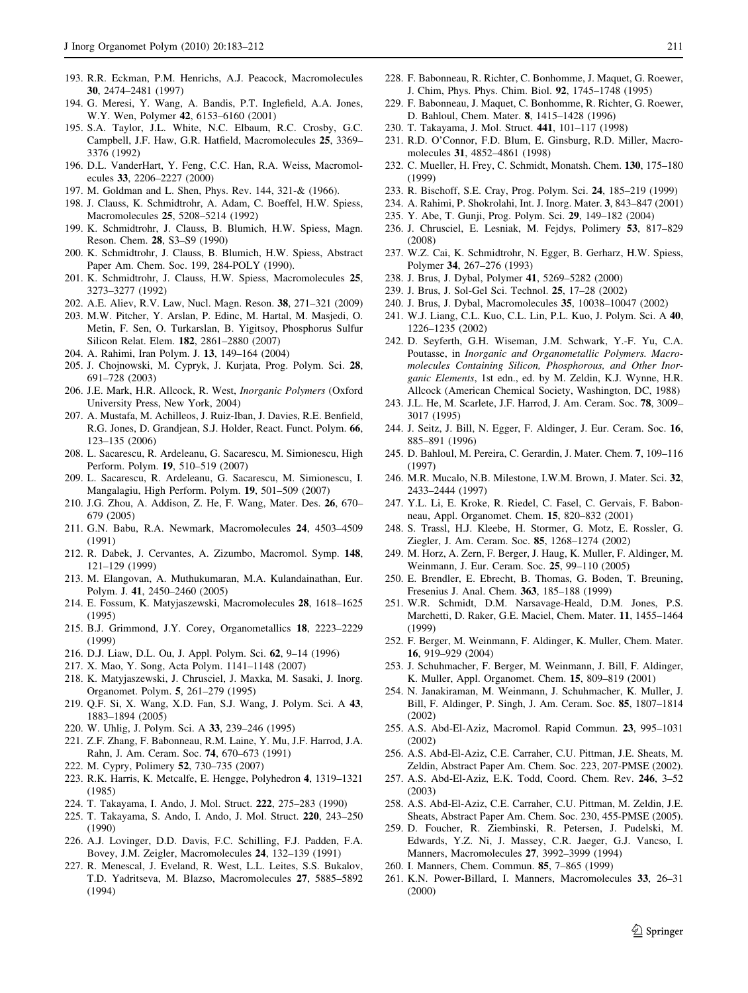- <span id="page-28-0"></span>193. R.R. Eckman, P.M. Henrichs, A.J. Peacock, Macromolecules 30, 2474–2481 (1997)
- 194. G. Meresi, Y. Wang, A. Bandis, P.T. Inglefield, A.A. Jones, W.Y. Wen, Polymer 42, 6153–6160 (2001)
- 195. S.A. Taylor, J.L. White, N.C. Elbaum, R.C. Crosby, G.C. Campbell, J.F. Haw, G.R. Hatfield, Macromolecules 25, 3369– 3376 (1992)
- 196. D.L. VanderHart, Y. Feng, C.C. Han, R.A. Weiss, Macromolecules 33, 2206–2227 (2000)
- 197. M. Goldman and L. Shen, Phys. Rev. 144, 321-& (1966).
- 198. J. Clauss, K. Schmidtrohr, A. Adam, C. Boeffel, H.W. Spiess, Macromolecules 25, 5208–5214 (1992)
- 199. K. Schmidtrohr, J. Clauss, B. Blumich, H.W. Spiess, Magn. Reson. Chem. 28, S3–S9 (1990)
- 200. K. Schmidtrohr, J. Clauss, B. Blumich, H.W. Spiess, Abstract Paper Am. Chem. Soc. 199, 284-POLY (1990).
- 201. K. Schmidtrohr, J. Clauss, H.W. Spiess, Macromolecules 25, 3273–3277 (1992)
- 202. A.E. Aliev, R.V. Law, Nucl. Magn. Reson. 38, 271–321 (2009)
- 203. M.W. Pitcher, Y. Arslan, P. Edinc, M. Hartal, M. Masjedi, O. Metin, F. Sen, O. Turkarslan, B. Yigitsoy, Phosphorus Sulfur Silicon Relat. Elem. 182, 2861–2880 (2007)
- 204. A. Rahimi, Iran Polym. J. 13, 149–164 (2004)
- 205. J. Chojnowski, M. Cypryk, J. Kurjata, Prog. Polym. Sci. 28, 691–728 (2003)
- 206. J.E. Mark, H.R. Allcock, R. West, Inorganic Polymers (Oxford University Press, New York, 2004)
- 207. A. Mustafa, M. Achilleos, J. Ruiz-Iban, J. Davies, R.E. Benfield, R.G. Jones, D. Grandjean, S.J. Holder, React. Funct. Polym. 66, 123–135 (2006)
- 208. L. Sacarescu, R. Ardeleanu, G. Sacarescu, M. Simionescu, High Perform. Polym. 19, 510–519 (2007)
- 209. L. Sacarescu, R. Ardeleanu, G. Sacarescu, M. Simionescu, I. Mangalagiu, High Perform. Polym. 19, 501–509 (2007)
- 210. J.G. Zhou, A. Addison, Z. He, F. Wang, Mater. Des. 26, 670– 679 (2005)
- 211. G.N. Babu, R.A. Newmark, Macromolecules 24, 4503–4509 (1991)
- 212. R. Dabek, J. Cervantes, A. Zizumbo, Macromol. Symp. 148, 121–129 (1999)
- 213. M. Elangovan, A. Muthukumaran, M.A. Kulandainathan, Eur. Polym. J. 41, 2450–2460 (2005)
- 214. E. Fossum, K. Matyjaszewski, Macromolecules 28, 1618–1625 (1995)
- 215. B.J. Grimmond, J.Y. Corey, Organometallics 18, 2223–2229 (1999)
- 216. D.J. Liaw, D.L. Ou, J. Appl. Polym. Sci. 62, 9–14 (1996)
- 217. X. Mao, Y. Song, Acta Polym. 1141–1148 (2007)
- 218. K. Matyjaszewski, J. Chrusciel, J. Maxka, M. Sasaki, J. Inorg. Organomet. Polym. 5, 261–279 (1995)
- 219. Q.F. Si, X. Wang, X.D. Fan, S.J. Wang, J. Polym. Sci. A 43, 1883–1894 (2005)
- 220. W. Uhlig, J. Polym. Sci. A 33, 239–246 (1995)
- 221. Z.F. Zhang, F. Babonneau, R.M. Laine, Y. Mu, J.F. Harrod, J.A. Rahn, J. Am. Ceram. Soc. 74, 670–673 (1991)
- 222. M. Cypry, Polimery 52, 730–735 (2007)
- 223. R.K. Harris, K. Metcalfe, E. Hengge, Polyhedron 4, 1319–1321 (1985)
- 224. T. Takayama, I. Ando, J. Mol. Struct. 222, 275–283 (1990)
- 225. T. Takayama, S. Ando, I. Ando, J. Mol. Struct. 220, 243–250 (1990)
- 226. A.J. Lovinger, D.D. Davis, F.C. Schilling, F.J. Padden, F.A. Bovey, J.M. Zeigler, Macromolecules 24, 132–139 (1991)
- 227. R. Menescal, J. Eveland, R. West, L.L. Leites, S.S. Bukalov, T.D. Yadritseva, M. Blazso, Macromolecules 27, 5885–5892 (1994)
- 
- 228. F. Babonneau, R. Richter, C. Bonhomme, J. Maquet, G. Roewer, J. Chim, Phys. Phys. Chim. Biol. 92, 1745–1748 (1995)
- 229. F. Babonneau, J. Maquet, C. Bonhomme, R. Richter, G. Roewer, D. Bahloul, Chem. Mater. 8, 1415–1428 (1996)
- 230. T. Takayama, J. Mol. Struct. 441, 101–117 (1998)
- 231. R.D. O'Connor, F.D. Blum, E. Ginsburg, R.D. Miller, Macromolecules 31, 4852–4861 (1998)
- 232. C. Mueller, H. Frey, C. Schmidt, Monatsh. Chem. 130, 175–180 (1999)
- 233. R. Bischoff, S.E. Cray, Prog. Polym. Sci. 24, 185–219 (1999)
- 234. A. Rahimi, P. Shokrolahi, Int. J. Inorg. Mater. 3, 843–847 (2001)
- 235. Y. Abe, T. Gunji, Prog. Polym. Sci. 29, 149–182 (2004)
- 236. J. Chrusciel, E. Lesniak, M. Fejdys, Polimery 53, 817–829 (2008)
- 237. W.Z. Cai, K. Schmidtrohr, N. Egger, B. Gerharz, H.W. Spiess, Polymer 34, 267–276 (1993)
- 238. J. Brus, J. Dybal, Polymer 41, 5269–5282 (2000)
- 239. J. Brus, J. Sol-Gel Sci. Technol. 25, 17–28 (2002)
- 240. J. Brus, J. Dybal, Macromolecules 35, 10038–10047 (2002)
- 241. W.J. Liang, C.L. Kuo, C.L. Lin, P.L. Kuo, J. Polym. Sci. A 40, 1226–1235 (2002)
- 242. D. Seyferth, G.H. Wiseman, J.M. Schwark, Y.-F. Yu, C.A. Poutasse, in Inorganic and Organometallic Polymers. Macromolecules Containing Silicon, Phosphorous, and Other Inorganic Elements, 1st edn., ed. by M. Zeldin, K.J. Wynne, H.R. Allcock (American Chemical Society, Washington, DC, 1988)
- 243. J.L. He, M. Scarlete, J.F. Harrod, J. Am. Ceram. Soc. 78, 3009– 3017 (1995)
- 244. J. Seitz, J. Bill, N. Egger, F. Aldinger, J. Eur. Ceram. Soc. 16, 885–891 (1996)
- 245. D. Bahloul, M. Pereira, C. Gerardin, J. Mater. Chem. 7, 109–116 (1997)
- 246. M.R. Mucalo, N.B. Milestone, I.W.M. Brown, J. Mater. Sci. 32, 2433–2444 (1997)
- 247. Y.L. Li, E. Kroke, R. Riedel, C. Fasel, C. Gervais, F. Babonneau, Appl. Organomet. Chem. 15, 820–832 (2001)
- 248. S. Trassl, H.J. Kleebe, H. Stormer, G. Motz, E. Rossler, G. Ziegler, J. Am. Ceram. Soc. 85, 1268–1274 (2002)
- 249. M. Horz, A. Zern, F. Berger, J. Haug, K. Muller, F. Aldinger, M. Weinmann, J. Eur. Ceram. Soc. 25, 99–110 (2005)
- 250. E. Brendler, E. Ebrecht, B. Thomas, G. Boden, T. Breuning, Fresenius J. Anal. Chem. 363, 185–188 (1999)
- 251. W.R. Schmidt, D.M. Narsavage-Heald, D.M. Jones, P.S. Marchetti, D. Raker, G.E. Maciel, Chem. Mater. 11, 1455–1464 (1999)
- 252. F. Berger, M. Weinmann, F. Aldinger, K. Muller, Chem. Mater. 16, 919–929 (2004)
- 253. J. Schuhmacher, F. Berger, M. Weinmann, J. Bill, F. Aldinger, K. Muller, Appl. Organomet. Chem. 15, 809–819 (2001)
- 254. N. Janakiraman, M. Weinmann, J. Schuhmacher, K. Muller, J. Bill, F. Aldinger, P. Singh, J. Am. Ceram. Soc. 85, 1807–1814 (2002)
- 255. A.S. Abd-El-Aziz, Macromol. Rapid Commun. 23, 995–1031 (2002)
- 256. A.S. Abd-El-Aziz, C.E. Carraher, C.U. Pittman, J.E. Sheats, M. Zeldin, Abstract Paper Am. Chem. Soc. 223, 207-PMSE (2002).
- 257. A.S. Abd-El-Aziz, E.K. Todd, Coord. Chem. Rev. 246, 3–52 (2003)
- 258. A.S. Abd-El-Aziz, C.E. Carraher, C.U. Pittman, M. Zeldin, J.E. Sheats, Abstract Paper Am. Chem. Soc. 230, 455-PMSE (2005).
- 259. D. Foucher, R. Ziembinski, R. Petersen, J. Pudelski, M. Edwards, Y.Z. Ni, J. Massey, C.R. Jaeger, G.J. Vancso, I. Manners, Macromolecules 27, 3992–3999 (1994)
- 260. I. Manners, Chem. Commun. 85, 7–865 (1999)
- 261. K.N. Power-Billard, I. Manners, Macromolecules 33, 26–31 (2000)